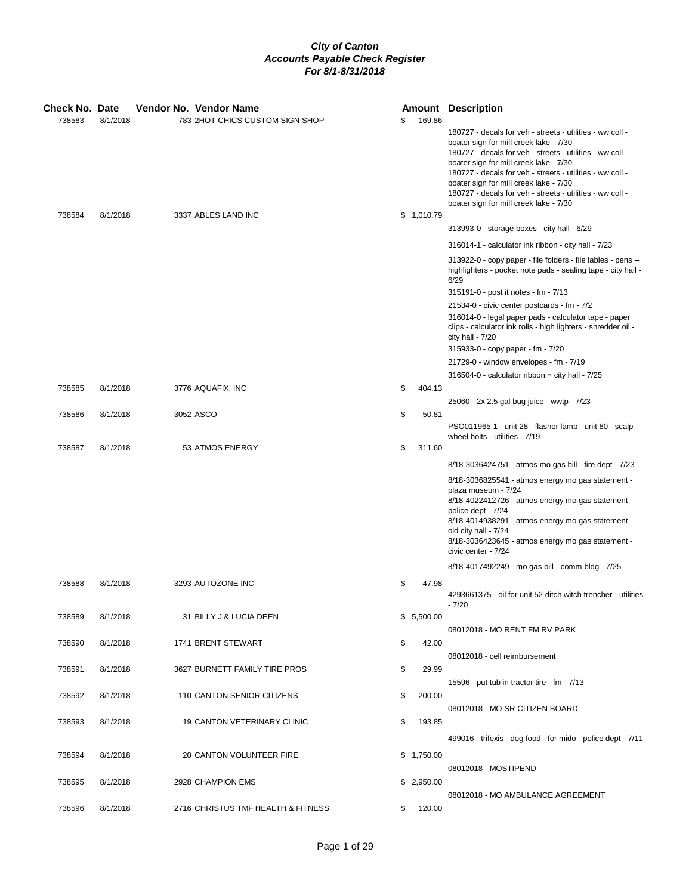| <b>Check No. Date</b> |          | Vendor No. Vendor Name             |              | <b>Amount Description</b>                                                                                                                                                                                                                                                                                                                                                                                                |
|-----------------------|----------|------------------------------------|--------------|--------------------------------------------------------------------------------------------------------------------------------------------------------------------------------------------------------------------------------------------------------------------------------------------------------------------------------------------------------------------------------------------------------------------------|
| 738583                | 8/1/2018 | 783 2HOT CHICS CUSTOM SIGN SHOP    | \$<br>169.86 |                                                                                                                                                                                                                                                                                                                                                                                                                          |
|                       |          |                                    |              | 180727 - decals for veh - streets - utilities - ww coll -<br>boater sign for mill creek lake - 7/30<br>180727 - decals for veh - streets - utilities - ww coll -<br>boater sign for mill creek lake - 7/30<br>180727 - decals for veh - streets - utilities - ww coll -<br>boater sign for mill creek lake - 7/30<br>180727 - decals for veh - streets - utilities - ww coll -<br>boater sign for mill creek lake - 7/30 |
| 738584                | 8/1/2018 | 3337 ABLES LAND INC                | \$1,010.79   |                                                                                                                                                                                                                                                                                                                                                                                                                          |
|                       |          |                                    |              | 313993-0 - storage boxes - city hall - 6/29                                                                                                                                                                                                                                                                                                                                                                              |
|                       |          |                                    |              | 316014-1 - calculator ink ribbon - city hall - 7/23                                                                                                                                                                                                                                                                                                                                                                      |
|                       |          |                                    |              | 313922-0 - copy paper - file folders - file lables - pens --<br>highlighters - pocket note pads - sealing tape - city hall -<br>6/29                                                                                                                                                                                                                                                                                     |
|                       |          |                                    |              | 315191-0 - post it notes - fm - 7/13                                                                                                                                                                                                                                                                                                                                                                                     |
|                       |          |                                    |              | 21534-0 - civic center postcards - fm - 7/2                                                                                                                                                                                                                                                                                                                                                                              |
|                       |          |                                    |              | 316014-0 - legal paper pads - calculator tape - paper<br>clips - calculator ink rolls - high lighters - shredder oil -<br>city hall - 7/20                                                                                                                                                                                                                                                                               |
|                       |          |                                    |              | 315933-0 - copy paper - fm - 7/20                                                                                                                                                                                                                                                                                                                                                                                        |
|                       |          |                                    |              | 21729-0 - window envelopes - fm - 7/19                                                                                                                                                                                                                                                                                                                                                                                   |
|                       |          |                                    |              | $316504 - 0$ - calculator ribbon = city hall - $7/25$                                                                                                                                                                                                                                                                                                                                                                    |
| 738585                | 8/1/2018 | 3776 AQUAFIX, INC                  | \$<br>404.13 |                                                                                                                                                                                                                                                                                                                                                                                                                          |
|                       |          |                                    |              | 25060 - 2x 2.5 gal bug juice - wwtp - 7/23                                                                                                                                                                                                                                                                                                                                                                               |
| 738586                | 8/1/2018 | 3052 ASCO                          | \$<br>50.81  | PSO011965-1 - unit 28 - flasher lamp - unit 80 - scalp<br>wheel bolts - utilities - 7/19                                                                                                                                                                                                                                                                                                                                 |
| 738587                | 8/1/2018 | 53 ATMOS ENERGY                    | \$<br>311.60 |                                                                                                                                                                                                                                                                                                                                                                                                                          |
|                       |          |                                    |              | 8/18-3036424751 - atmos mo gas bill - fire dept - 7/23                                                                                                                                                                                                                                                                                                                                                                   |
|                       |          |                                    |              | 8/18-3036825541 - atmos energy mo gas statement -<br>plaza museum - 7/24<br>8/18-4022412726 - atmos energy mo gas statement -<br>police dept - 7/24<br>8/18-4014938291 - atmos energy mo gas statement -<br>old city hall - 7/24<br>8/18-3036423645 - atmos energy mo gas statement -<br>civic center - 7/24                                                                                                             |
|                       |          |                                    |              | 8/18-4017492249 - mo gas bill - comm bldg - 7/25                                                                                                                                                                                                                                                                                                                                                                         |
| 738588                | 8/1/2018 | 3293 AUTOZONE INC                  | \$<br>47.98  |                                                                                                                                                                                                                                                                                                                                                                                                                          |
|                       |          |                                    |              | 4293661375 - oil for unit 52 ditch witch trencher - utilities<br>$-7/20$                                                                                                                                                                                                                                                                                                                                                 |
| 738589                | 8/1/2018 | 31 BILLY J & LUCIA DEEN            | \$5,500.00   |                                                                                                                                                                                                                                                                                                                                                                                                                          |
|                       |          |                                    |              | 08012018 - MO RENT FM RV PARK                                                                                                                                                                                                                                                                                                                                                                                            |
| 738590                | 8/1/2018 | 1741 BRENT STEWART                 | \$<br>42.00  |                                                                                                                                                                                                                                                                                                                                                                                                                          |
|                       |          |                                    |              | 08012018 - cell reimbursement                                                                                                                                                                                                                                                                                                                                                                                            |
| 738591                | 8/1/2018 | 3627 BURNETT FAMILY TIRE PROS      | \$<br>29.99  |                                                                                                                                                                                                                                                                                                                                                                                                                          |
|                       |          |                                    |              | 15596 - put tub in tractor tire - fm - 7/13                                                                                                                                                                                                                                                                                                                                                                              |
| 738592                | 8/1/2018 | 110 CANTON SENIOR CITIZENS         | \$<br>200.00 |                                                                                                                                                                                                                                                                                                                                                                                                                          |
|                       |          |                                    |              | 08012018 - MO SR CITIZEN BOARD                                                                                                                                                                                                                                                                                                                                                                                           |
| 738593                | 8/1/2018 | 19 CANTON VETERINARY CLINIC        | \$<br>193.85 |                                                                                                                                                                                                                                                                                                                                                                                                                          |
|                       |          |                                    |              | 499016 - trifexis - dog food - for mido - police dept - 7/11                                                                                                                                                                                                                                                                                                                                                             |
| 738594                | 8/1/2018 | 20 CANTON VOLUNTEER FIRE           | \$1,750.00   |                                                                                                                                                                                                                                                                                                                                                                                                                          |
|                       |          |                                    |              | 08012018 - MOSTIPEND                                                                                                                                                                                                                                                                                                                                                                                                     |
| 738595                | 8/1/2018 | 2928 CHAMPION EMS                  | \$2,950.00   |                                                                                                                                                                                                                                                                                                                                                                                                                          |
|                       |          |                                    |              | 08012018 - MO AMBULANCE AGREEMENT                                                                                                                                                                                                                                                                                                                                                                                        |
| 738596                | 8/1/2018 | 2716 CHRISTUS TMF HEALTH & FITNESS | \$<br>120.00 |                                                                                                                                                                                                                                                                                                                                                                                                                          |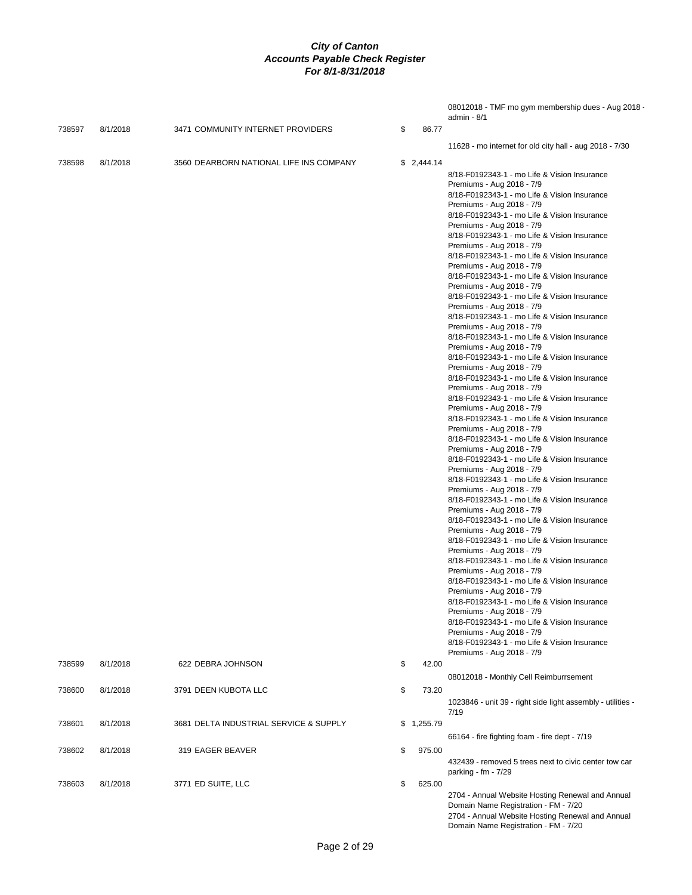|        |          |                                         |              | 08012018 - TMF mo gym membership dues - Aug 2018 -<br>admin - 8/1                                                                                                                                                                                                                                                                                                                                                                                                                                                                                                                                                                                                                                                                                                                                                                                                                                                                                                                                                                                                                                                                                                                                                                                                                                                                                                                                                                      |
|--------|----------|-----------------------------------------|--------------|----------------------------------------------------------------------------------------------------------------------------------------------------------------------------------------------------------------------------------------------------------------------------------------------------------------------------------------------------------------------------------------------------------------------------------------------------------------------------------------------------------------------------------------------------------------------------------------------------------------------------------------------------------------------------------------------------------------------------------------------------------------------------------------------------------------------------------------------------------------------------------------------------------------------------------------------------------------------------------------------------------------------------------------------------------------------------------------------------------------------------------------------------------------------------------------------------------------------------------------------------------------------------------------------------------------------------------------------------------------------------------------------------------------------------------------|
| 738597 | 8/1/2018 | 3471 COMMUNITY INTERNET PROVIDERS       | \$<br>86.77  |                                                                                                                                                                                                                                                                                                                                                                                                                                                                                                                                                                                                                                                                                                                                                                                                                                                                                                                                                                                                                                                                                                                                                                                                                                                                                                                                                                                                                                        |
|        |          |                                         |              | 11628 - mo internet for old city hall - aug 2018 - 7/30                                                                                                                                                                                                                                                                                                                                                                                                                                                                                                                                                                                                                                                                                                                                                                                                                                                                                                                                                                                                                                                                                                                                                                                                                                                                                                                                                                                |
| 738598 | 8/1/2018 | 3560 DEARBORN NATIONAL LIFE INS COMPANY | \$2,444.14   |                                                                                                                                                                                                                                                                                                                                                                                                                                                                                                                                                                                                                                                                                                                                                                                                                                                                                                                                                                                                                                                                                                                                                                                                                                                                                                                                                                                                                                        |
|        |          |                                         |              | 8/18-F0192343-1 - mo Life & Vision Insurance<br>Premiums - Aug 2018 - 7/9<br>8/18-F0192343-1 - mo Life & Vision Insurance<br>Premiums - Aug 2018 - 7/9<br>8/18-F0192343-1 - mo Life & Vision Insurance<br>Premiums - Aug 2018 - 7/9<br>8/18-F0192343-1 - mo Life & Vision Insurance<br>Premiums - Aug 2018 - 7/9<br>8/18-F0192343-1 - mo Life & Vision Insurance<br>Premiums - Aug 2018 - 7/9<br>8/18-F0192343-1 - mo Life & Vision Insurance<br>Premiums - Aug 2018 - 7/9<br>8/18-F0192343-1 - mo Life & Vision Insurance<br>Premiums - Aug 2018 - 7/9<br>8/18-F0192343-1 - mo Life & Vision Insurance<br>Premiums - Aug 2018 - 7/9<br>8/18-F0192343-1 - mo Life & Vision Insurance<br>Premiums - Aug 2018 - 7/9<br>8/18-F0192343-1 - mo Life & Vision Insurance<br>Premiums - Aug 2018 - 7/9<br>8/18-F0192343-1 - mo Life & Vision Insurance<br>Premiums - Aug 2018 - 7/9<br>8/18-F0192343-1 - mo Life & Vision Insurance<br>Premiums - Aug 2018 - 7/9<br>8/18-F0192343-1 - mo Life & Vision Insurance<br>Premiums - Aug 2018 - 7/9<br>8/18-F0192343-1 - mo Life & Vision Insurance<br>Premiums - Aug 2018 - 7/9<br>8/18-F0192343-1 - mo Life & Vision Insurance<br>Premiums - Aug 2018 - 7/9<br>8/18-F0192343-1 - mo Life & Vision Insurance<br>Premiums - Aug 2018 - 7/9<br>8/18-F0192343-1 - mo Life & Vision Insurance<br>Premiums - Aug 2018 - 7/9<br>8/18-F0192343-1 - mo Life & Vision Insurance<br>Premiums - Aug 2018 - 7/9 |
|        |          |                                         |              | 8/18-F0192343-1 - mo Life & Vision Insurance<br>Premiums - Aug 2018 - 7/9<br>8/18-F0192343-1 - mo Life & Vision Insurance<br>Premiums - Aug 2018 - 7/9<br>8/18-F0192343-1 - mo Life & Vision Insurance<br>Premiums - Aug 2018 - 7/9<br>8/18-F0192343-1 - mo Life & Vision Insurance<br>Premiums - Aug 2018 - 7/9<br>8/18-F0192343-1 - mo Life & Vision Insurance<br>Premiums - Aug 2018 - 7/9<br>8/18-F0192343-1 - mo Life & Vision Insurance<br>Premiums - Aug 2018 - 7/9                                                                                                                                                                                                                                                                                                                                                                                                                                                                                                                                                                                                                                                                                                                                                                                                                                                                                                                                                             |
| 738599 | 8/1/2018 | 622 DEBRA JOHNSON                       | \$<br>42.00  |                                                                                                                                                                                                                                                                                                                                                                                                                                                                                                                                                                                                                                                                                                                                                                                                                                                                                                                                                                                                                                                                                                                                                                                                                                                                                                                                                                                                                                        |
|        |          | 3791 DEEN KUBOTA LLC                    |              | 08012018 - Monthly Cell Reimburrsement                                                                                                                                                                                                                                                                                                                                                                                                                                                                                                                                                                                                                                                                                                                                                                                                                                                                                                                                                                                                                                                                                                                                                                                                                                                                                                                                                                                                 |
| 738600 | 8/1/2018 |                                         | \$<br>73.20  | 1023846 - unit 39 - right side light assembly - utilities -<br>7/19                                                                                                                                                                                                                                                                                                                                                                                                                                                                                                                                                                                                                                                                                                                                                                                                                                                                                                                                                                                                                                                                                                                                                                                                                                                                                                                                                                    |
| 738601 | 8/1/2018 | 3681 DELTA INDUSTRIAL SERVICE & SUPPLY  | \$1,255.79   |                                                                                                                                                                                                                                                                                                                                                                                                                                                                                                                                                                                                                                                                                                                                                                                                                                                                                                                                                                                                                                                                                                                                                                                                                                                                                                                                                                                                                                        |
|        |          |                                         |              | 66164 - fire fighting foam - fire dept - 7/19                                                                                                                                                                                                                                                                                                                                                                                                                                                                                                                                                                                                                                                                                                                                                                                                                                                                                                                                                                                                                                                                                                                                                                                                                                                                                                                                                                                          |
| 738602 | 8/1/2018 | 319 EAGER BEAVER                        | \$<br>975.00 | 432439 - removed 5 trees next to civic center tow car<br>parking - fm - 7/29                                                                                                                                                                                                                                                                                                                                                                                                                                                                                                                                                                                                                                                                                                                                                                                                                                                                                                                                                                                                                                                                                                                                                                                                                                                                                                                                                           |
| 738603 | 8/1/2018 | 3771 ED SUITE, LLC                      | \$<br>625.00 | 2704 - Annual Website Hosting Renewal and Annual<br>Domain Name Registration - FM - 7/20<br>2704 - Annual Website Hosting Renewal and Annual<br>Domain Name Registration - FM - 7/20                                                                                                                                                                                                                                                                                                                                                                                                                                                                                                                                                                                                                                                                                                                                                                                                                                                                                                                                                                                                                                                                                                                                                                                                                                                   |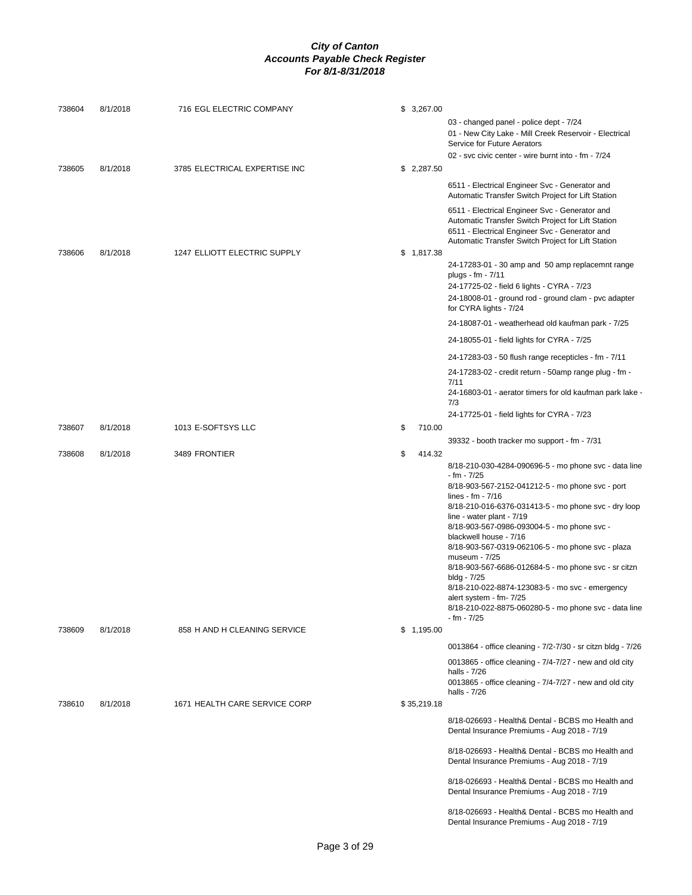| 738604 | 8/1/2018 | 716 EGL ELECTRIC COMPANY      | \$3,267.00   |                                                                                                                                                                                                                                                                                                                                                                                                                                                                                                                                          |
|--------|----------|-------------------------------|--------------|------------------------------------------------------------------------------------------------------------------------------------------------------------------------------------------------------------------------------------------------------------------------------------------------------------------------------------------------------------------------------------------------------------------------------------------------------------------------------------------------------------------------------------------|
|        |          |                               |              | 03 - changed panel - police dept - 7/24<br>01 - New City Lake - Mill Creek Reservoir - Electrical<br>Service for Future Aerators<br>02 - svc civic center - wire burnt into - fm - 7/24                                                                                                                                                                                                                                                                                                                                                  |
| 738605 | 8/1/2018 | 3785 ELECTRICAL EXPERTISE INC | \$2,287.50   |                                                                                                                                                                                                                                                                                                                                                                                                                                                                                                                                          |
|        |          |                               |              | 6511 - Electrical Engineer Svc - Generator and<br>Automatic Transfer Switch Project for Lift Station                                                                                                                                                                                                                                                                                                                                                                                                                                     |
|        |          |                               |              | 6511 - Electrical Engineer Svc - Generator and<br>Automatic Transfer Switch Project for Lift Station<br>6511 - Electrical Engineer Svc - Generator and<br>Automatic Transfer Switch Project for Lift Station                                                                                                                                                                                                                                                                                                                             |
| 738606 | 8/1/2018 | 1247 ELLIOTT ELECTRIC SUPPLY  | \$1,817.38   | 24-17283-01 - 30 amp and 50 amp replacemnt range<br>plugs - fm - 7/11                                                                                                                                                                                                                                                                                                                                                                                                                                                                    |
|        |          |                               |              | 24-17725-02 - field 6 lights - CYRA - 7/23<br>24-18008-01 - ground rod - ground clam - pvc adapter<br>for CYRA lights - 7/24                                                                                                                                                                                                                                                                                                                                                                                                             |
|        |          |                               |              | 24-18087-01 - weatherhead old kaufman park - 7/25                                                                                                                                                                                                                                                                                                                                                                                                                                                                                        |
|        |          |                               |              | 24-18055-01 - field lights for CYRA - 7/25                                                                                                                                                                                                                                                                                                                                                                                                                                                                                               |
|        |          |                               |              | 24-17283-03 - 50 flush range recepticles - fm - 7/11                                                                                                                                                                                                                                                                                                                                                                                                                                                                                     |
|        |          |                               |              | 24-17283-02 - credit return - 50amp range plug - fm -                                                                                                                                                                                                                                                                                                                                                                                                                                                                                    |
|        |          |                               |              | 7/11                                                                                                                                                                                                                                                                                                                                                                                                                                                                                                                                     |
|        |          |                               |              | 24-16803-01 - aerator timers for old kaufman park lake -<br>7/3                                                                                                                                                                                                                                                                                                                                                                                                                                                                          |
|        |          |                               |              | 24-17725-01 - field lights for CYRA - 7/23                                                                                                                                                                                                                                                                                                                                                                                                                                                                                               |
| 738607 | 8/1/2018 | 1013 E-SOFTSYS LLC            | \$<br>710.00 |                                                                                                                                                                                                                                                                                                                                                                                                                                                                                                                                          |
| 738608 | 8/1/2018 | 3489 FRONTIER                 | \$<br>414.32 | 39332 - booth tracker mo support - fm - 7/31                                                                                                                                                                                                                                                                                                                                                                                                                                                                                             |
|        |          |                               |              | 8/18-210-030-4284-090696-5 - mo phone svc - data line<br>- fm - 7/25<br>8/18-903-567-2152-041212-5 - mo phone svc - port<br>lines - fm - $7/16$<br>8/18-210-016-6376-031413-5 - mo phone svc - dry loop<br>line - water plant - 7/19<br>8/18-903-567-0986-093004-5 - mo phone svc -<br>blackwell house - 7/16<br>8/18-903-567-0319-062106-5 - mo phone svc - plaza<br>museum - 7/25<br>8/18-903-567-6686-012684-5 - mo phone svc - sr citzn<br>bldg - 7/25<br>8/18-210-022-8874-123083-5 - mo svc - emergency<br>alert system - fm- 7/25 |
|        |          |                               |              | 8/18-210-022-8875-060280-5 - mo phone svc - data line<br>- fm - 7/25                                                                                                                                                                                                                                                                                                                                                                                                                                                                     |
| 738609 | 8/1/2018 | 858 H AND H CLEANING SERVICE  | \$1,195.00   |                                                                                                                                                                                                                                                                                                                                                                                                                                                                                                                                          |
|        |          |                               |              | 0013864 - office cleaning - 7/2-7/30 - sr citzn bldg - 7/26                                                                                                                                                                                                                                                                                                                                                                                                                                                                              |
|        |          |                               |              | 0013865 - office cleaning - 7/4-7/27 - new and old city<br>halls - 7/26<br>0013865 - office cleaning - 7/4-7/27 - new and old city                                                                                                                                                                                                                                                                                                                                                                                                       |
|        |          |                               |              | halls - 7/26                                                                                                                                                                                                                                                                                                                                                                                                                                                                                                                             |
| 738610 | 8/1/2018 | 1671 HEALTH CARE SERVICE CORP | \$35,219.18  |                                                                                                                                                                                                                                                                                                                                                                                                                                                                                                                                          |
|        |          |                               |              | 8/18-026693 - Health& Dental - BCBS mo Health and<br>Dental Insurance Premiums - Aug 2018 - 7/19                                                                                                                                                                                                                                                                                                                                                                                                                                         |
|        |          |                               |              | 8/18-026693 - Health& Dental - BCBS mo Health and<br>Dental Insurance Premiums - Aug 2018 - 7/19                                                                                                                                                                                                                                                                                                                                                                                                                                         |
|        |          |                               |              | 8/18-026693 - Health& Dental - BCBS mo Health and<br>Dental Insurance Premiums - Aug 2018 - 7/19                                                                                                                                                                                                                                                                                                                                                                                                                                         |
|        |          |                               |              | 8/18-026693 - Health& Dental - BCBS mo Health and<br>Dental Insurance Premiums - Aug 2018 - 7/19                                                                                                                                                                                                                                                                                                                                                                                                                                         |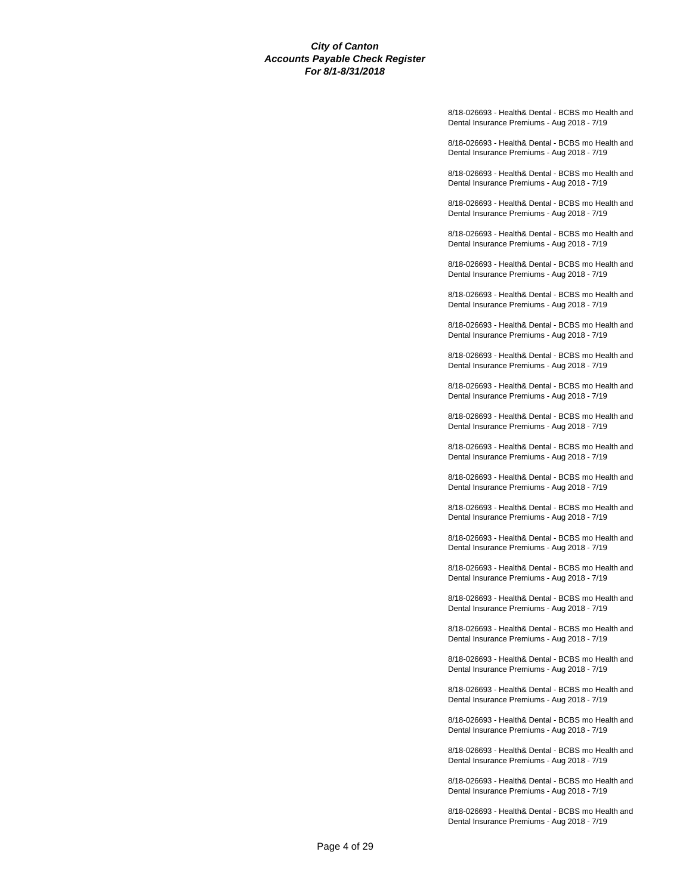8/18-026693 - Health& Dental - BCBS mo Health and Dental Insurance Premiums - Aug 2018 - 7/19

8/18-026693 - Health& Dental - BCBS mo Health and Dental Insurance Premiums - Aug 2018 - 7/19

8/18-026693 - Health& Dental - BCBS mo Health and Dental Insurance Premiums - Aug 2018 - 7/19

8/18-026693 - Health& Dental - BCBS mo Health and Dental Insurance Premiums - Aug 2018 - 7/19

8/18-026693 - Health& Dental - BCBS mo Health and Dental Insurance Premiums - Aug 2018 - 7/19

8/18-026693 - Health& Dental - BCBS mo Health and Dental Insurance Premiums - Aug 2018 - 7/19

8/18-026693 - Health& Dental - BCBS mo Health and Dental Insurance Premiums - Aug 2018 - 7/19

8/18-026693 - Health& Dental - BCBS mo Health and Dental Insurance Premiums - Aug 2018 - 7/19

8/18-026693 - Health& Dental - BCBS mo Health and Dental Insurance Premiums - Aug 2018 - 7/19

8/18-026693 - Health& Dental - BCBS mo Health and Dental Insurance Premiums - Aug 2018 - 7/19

8/18-026693 - Health& Dental - BCBS mo Health and Dental Insurance Premiums - Aug 2018 - 7/19

8/18-026693 - Health& Dental - BCBS mo Health and Dental Insurance Premiums - Aug 2018 - 7/19

8/18-026693 - Health& Dental - BCBS mo Health and Dental Insurance Premiums - Aug 2018 - 7/19

8/18-026693 - Health& Dental - BCBS mo Health and Dental Insurance Premiums - Aug 2018 - 7/19

8/18-026693 - Health& Dental - BCBS mo Health and Dental Insurance Premiums - Aug 2018 - 7/19

8/18-026693 - Health& Dental - BCBS mo Health and Dental Insurance Premiums - Aug 2018 - 7/19

8/18-026693 - Health& Dental - BCBS mo Health and Dental Insurance Premiums - Aug 2018 - 7/19

8/18-026693 - Health& Dental - BCBS mo Health and Dental Insurance Premiums - Aug 2018 - 7/19

8/18-026693 - Health& Dental - BCBS mo Health and Dental Insurance Premiums - Aug 2018 - 7/19

8/18-026693 - Health& Dental - BCBS mo Health and Dental Insurance Premiums - Aug 2018 - 7/19

8/18-026693 - Health& Dental - BCBS mo Health and Dental Insurance Premiums - Aug 2018 - 7/19

8/18-026693 - Health& Dental - BCBS mo Health and Dental Insurance Premiums - Aug 2018 - 7/19

8/18-026693 - Health& Dental - BCBS mo Health and Dental Insurance Premiums - Aug 2018 - 7/19

8/18-026693 - Health& Dental - BCBS mo Health and Dental Insurance Premiums - Aug 2018 - 7/19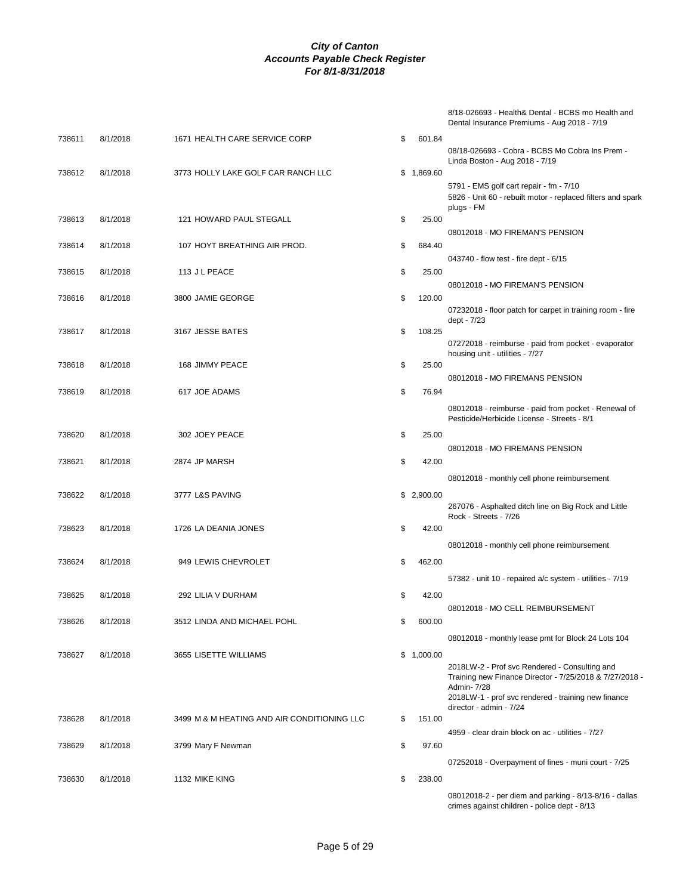| 8/18-026693 - Health& Dental - BCBS mo Health and |
|---------------------------------------------------|
| Dental Insurance Premiums - Aug 2018 - 7/19       |

| 738611 | 8/1/2018 | 1671 HEALTH CARE SERVICE CORP               | \$ | 601.84     | 08/18-026693 - Cobra - BCBS Mo Cobra Ins Prem -                                                                                                                                                           |
|--------|----------|---------------------------------------------|----|------------|-----------------------------------------------------------------------------------------------------------------------------------------------------------------------------------------------------------|
| 738612 | 8/1/2018 | 3773 HOLLY LAKE GOLF CAR RANCH LLC          |    | \$1,869.60 | Linda Boston - Aug 2018 - 7/19<br>5791 - EMS golf cart repair - fm - 7/10                                                                                                                                 |
|        |          |                                             |    |            | 5826 - Unit 60 - rebuilt motor - replaced filters and spark<br>plugs - FM                                                                                                                                 |
| 738613 | 8/1/2018 | 121 HOWARD PAUL STEGALL                     | \$ | 25.00      | 08012018 - MO FIREMAN'S PENSION                                                                                                                                                                           |
| 738614 | 8/1/2018 | 107 HOYT BREATHING AIR PROD.                | \$ | 684.40     | 043740 - flow test - fire dept - 6/15                                                                                                                                                                     |
| 738615 | 8/1/2018 | 113 J L PEACE                               | \$ | 25.00      | 08012018 - MO FIREMAN'S PENSION                                                                                                                                                                           |
| 738616 | 8/1/2018 | 3800 JAMIE GEORGE                           | \$ | 120.00     | 07232018 - floor patch for carpet in training room - fire                                                                                                                                                 |
| 738617 | 8/1/2018 | 3167 JESSE BATES                            | \$ | 108.25     | dept - 7/23<br>07272018 - reimburse - paid from pocket - evaporator                                                                                                                                       |
| 738618 | 8/1/2018 | 168 JIMMY PEACE                             | \$ | 25.00      | housing unit - utilities - 7/27                                                                                                                                                                           |
| 738619 | 8/1/2018 | 617 JOE ADAMS                               | \$ | 76.94      | 08012018 - MO FIREMANS PENSION                                                                                                                                                                            |
|        |          |                                             |    |            | 08012018 - reimburse - paid from pocket - Renewal of<br>Pesticide/Herbicide License - Streets - 8/1                                                                                                       |
| 738620 | 8/1/2018 | 302 JOEY PEACE                              | \$ | 25.00      | 08012018 - MO FIREMANS PENSION                                                                                                                                                                            |
| 738621 | 8/1/2018 | 2874 JP MARSH                               | \$ | 42.00      |                                                                                                                                                                                                           |
| 738622 | 8/1/2018 | 3777 L&S PAVING                             |    | \$2,900.00 | 08012018 - monthly cell phone reimbursement                                                                                                                                                               |
|        |          |                                             |    |            | 267076 - Asphalted ditch line on Big Rock and Little<br>Rock - Streets - 7/26                                                                                                                             |
| 738623 | 8/1/2018 | 1726 LA DEANIA JONES                        | \$ | 42.00      | 08012018 - monthly cell phone reimbursement                                                                                                                                                               |
| 738624 | 8/1/2018 | 949 LEWIS CHEVROLET                         | \$ | 462.00     |                                                                                                                                                                                                           |
| 738625 | 8/1/2018 | 292 LILIA V DURHAM                          | \$ | 42.00      | 57382 - unit 10 - repaired a/c system - utilities - 7/19                                                                                                                                                  |
| 738626 | 8/1/2018 | 3512 LINDA AND MICHAEL POHL                 | S  | 600.00     | 08012018 - MO CELL REIMBURSEMENT                                                                                                                                                                          |
|        |          |                                             |    |            | 08012018 - monthly lease pmt for Block 24 Lots 104                                                                                                                                                        |
| 738627 | 8/1/2018 | 3655 LISETTE WILLIAMS                       |    | \$1,000.00 | 2018LW-2 - Prof svc Rendered - Consulting and<br>Training new Finance Director - 7/25/2018 & 7/27/2018 -<br>Admin- 7/28<br>2018LW-1 - prof svc rendered - training new finance<br>director - admin - 7/24 |
| 738628 | 8/1/2018 | 3499 M & M HEATING AND AIR CONDITIONING LLC | \$ | 151.00     | 4959 - clear drain block on ac - utilities - 7/27                                                                                                                                                         |
| 738629 | 8/1/2018 | 3799 Mary F Newman                          | \$ | 97.60      |                                                                                                                                                                                                           |
| 738630 | 8/1/2018 | 1132 MIKE KING                              | \$ | 238.00     | 07252018 - Overpayment of fines - muni court - 7/25                                                                                                                                                       |
|        |          |                                             |    |            | $0.8012018 - 2$ - per diem and parking - $8/13 - 8/16$ - dallas                                                                                                                                           |

08012018-2 - per diem and parking - 8/13-8/16 - dallas crimes against children - police dept - 8/13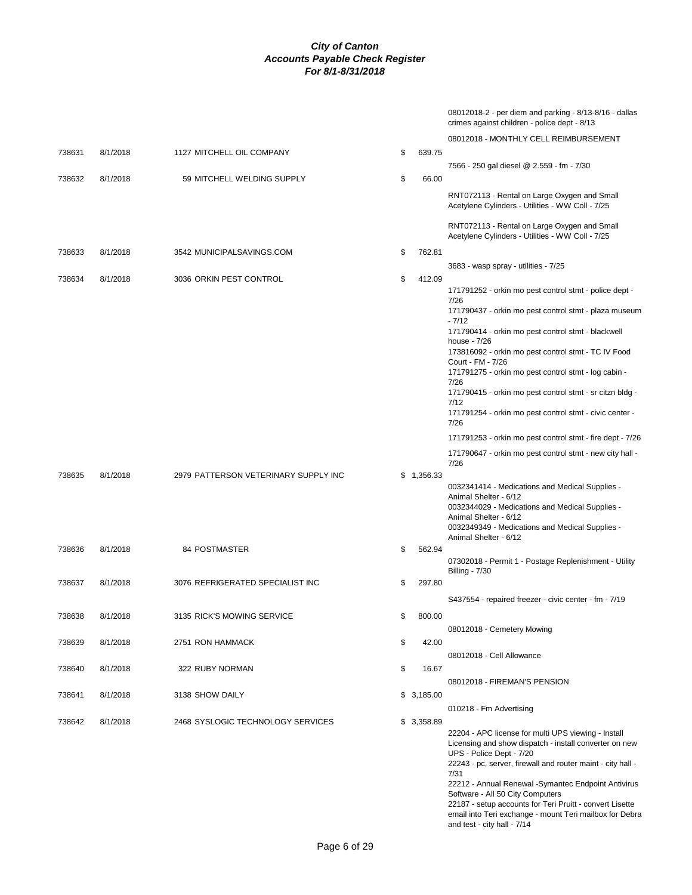|        |          |                                      |              | 08012018-2 - per diem and parking - 8/13-8/16 - dallas<br>crimes against children - police dept - 8/13 |
|--------|----------|--------------------------------------|--------------|--------------------------------------------------------------------------------------------------------|
|        |          |                                      |              | 08012018 - MONTHLY CELL REIMBURSEMENT                                                                  |
| 738631 | 8/1/2018 | 1127 MITCHELL OIL COMPANY            | \$<br>639.75 |                                                                                                        |
|        |          |                                      |              | 7566 - 250 gal diesel @ 2.559 - fm - 7/30                                                              |
| 738632 | 8/1/2018 | 59 MITCHELL WELDING SUPPLY           | \$<br>66.00  |                                                                                                        |
|        |          |                                      |              | RNT072113 - Rental on Large Oxygen and Small<br>Acetylene Cylinders - Utilities - WW Coll - 7/25       |
|        |          |                                      |              | RNT072113 - Rental on Large Oxygen and Small<br>Acetylene Cylinders - Utilities - WW Coll - 7/25       |
| 738633 | 8/1/2018 | 3542 MUNICIPALSAVINGS.COM            | \$<br>762.81 |                                                                                                        |
|        |          |                                      |              | 3683 - wasp spray - utilities - 7/25                                                                   |
| 738634 | 8/1/2018 | 3036 ORKIN PEST CONTROL              | \$<br>412.09 |                                                                                                        |
|        |          |                                      |              | 171791252 - orkin mo pest control stmt - police dept -<br>7/26                                         |
|        |          |                                      |              | 171790437 - orkin mo pest control stmt - plaza museum<br>$-7/12$                                       |
|        |          |                                      |              | 171790414 - orkin mo pest control stmt - blackwell                                                     |
|        |          |                                      |              | house - 7/26                                                                                           |
|        |          |                                      |              | 173816092 - orkin mo pest control stmt - TC IV Food<br>Court - FM - 7/26                               |
|        |          |                                      |              | 171791275 - orkin mo pest control stmt - log cabin -<br>7/26                                           |
|        |          |                                      |              | 171790415 - orkin mo pest control stmt - sr citzn bldg -                                               |
|        |          |                                      |              | 7/12<br>171791254 - orkin mo pest control stmt - civic center -                                        |
|        |          |                                      |              | 7/26                                                                                                   |
|        |          |                                      |              | 171791253 - orkin mo pest control stmt - fire dept - 7/26                                              |
|        |          |                                      |              | 171790647 - orkin mo pest control stmt - new city hall -<br>7/26                                       |
| 738635 | 8/1/2018 | 2979 PATTERSON VETERINARY SUPPLY INC | \$1,356.33   | 0032341414 - Medications and Medical Supplies -                                                        |
|        |          |                                      |              | Animal Shelter - 6/12                                                                                  |
|        |          |                                      |              | 0032344029 - Medications and Medical Supplies -<br>Animal Shelter - 6/12                               |
|        |          |                                      |              | 0032349349 - Medications and Medical Supplies -                                                        |
| 738636 | 8/1/2018 | 84 POSTMASTER                        | \$<br>562.94 | Animal Shelter - 6/12                                                                                  |
|        |          |                                      |              | 07302018 - Permit 1 - Postage Replenishment - Utility                                                  |
|        |          |                                      |              | <b>Billing - 7/30</b>                                                                                  |
| 738637 | 8/1/2018 | 3076 REFRIGERATED SPECIALIST INC     | \$<br>297.80 |                                                                                                        |
|        |          |                                      |              | S437554 - repaired freezer - civic center - fm - 7/19                                                  |
| 738638 | 8/1/2018 | 3135 RICK'S MOWING SERVICE           | \$<br>800.00 |                                                                                                        |
| 738639 | 8/1/2018 | 2751 RON HAMMACK                     | \$<br>42.00  | 08012018 - Cemetery Mowing                                                                             |
|        |          |                                      |              | 08012018 - Cell Allowance                                                                              |
| 738640 | 8/1/2018 | 322 RUBY NORMAN                      | \$<br>16.67  |                                                                                                        |
|        |          |                                      |              | 08012018 - FIREMAN'S PENSION                                                                           |
| 738641 | 8/1/2018 | 3138 SHOW DAILY                      | \$3,185.00   |                                                                                                        |
|        |          |                                      |              | 010218 - Fm Advertising                                                                                |
| 738642 | 8/1/2018 | 2468 SYSLOGIC TECHNOLOGY SERVICES    | \$3,358.89   | 22204 - APC license for multi UPS viewing - Install                                                    |
|        |          |                                      |              | Licensing and show dispatch - install converter on new                                                 |
|        |          |                                      |              | UPS - Police Dept - 7/20<br>22243 - pc, server, firewall and router maint - city hall -                |
|        |          |                                      |              | 7/31                                                                                                   |
|        |          |                                      |              | 22212 - Annual Renewal -Symantec Endpoint Antivirus<br>Software - All 50 City Computers                |
|        |          |                                      |              | 22187 - setup accounts for Teri Pruitt - convert Lisette                                               |

email into Teri exchange - mount Teri mailbox for Debra

and test - city hall - 7/14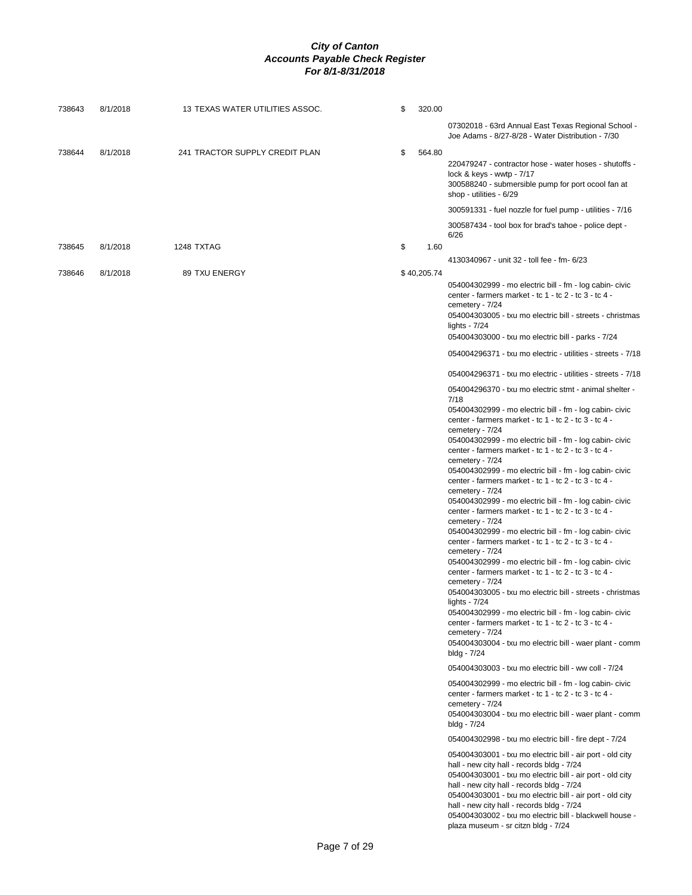| 738643 | 8/1/2018 | 13 TEXAS WATER UTILITIES ASSOC. | \$ | 320.00      |                                                                                                                                                                                                                                                                                                                                                                                                                                                                                                                                                                                                                                                                                                                                                                                                                                                                                                                                                                                                                                                                                                                                                                                                                                                                                                                                                                                                                                                                                                                                                                                                                                                                                                                                                                                                                                                                                                                                                                                                                                                                                                                                                                                                                                                                                          |
|--------|----------|---------------------------------|----|-------------|------------------------------------------------------------------------------------------------------------------------------------------------------------------------------------------------------------------------------------------------------------------------------------------------------------------------------------------------------------------------------------------------------------------------------------------------------------------------------------------------------------------------------------------------------------------------------------------------------------------------------------------------------------------------------------------------------------------------------------------------------------------------------------------------------------------------------------------------------------------------------------------------------------------------------------------------------------------------------------------------------------------------------------------------------------------------------------------------------------------------------------------------------------------------------------------------------------------------------------------------------------------------------------------------------------------------------------------------------------------------------------------------------------------------------------------------------------------------------------------------------------------------------------------------------------------------------------------------------------------------------------------------------------------------------------------------------------------------------------------------------------------------------------------------------------------------------------------------------------------------------------------------------------------------------------------------------------------------------------------------------------------------------------------------------------------------------------------------------------------------------------------------------------------------------------------------------------------------------------------------------------------------------------------|
|        |          |                                 |    |             | 07302018 - 63rd Annual East Texas Regional School -<br>Joe Adams - 8/27-8/28 - Water Distribution - 7/30                                                                                                                                                                                                                                                                                                                                                                                                                                                                                                                                                                                                                                                                                                                                                                                                                                                                                                                                                                                                                                                                                                                                                                                                                                                                                                                                                                                                                                                                                                                                                                                                                                                                                                                                                                                                                                                                                                                                                                                                                                                                                                                                                                                 |
| 738644 | 8/1/2018 | 241 TRACTOR SUPPLY CREDIT PLAN  | \$ | 564.80      | 220479247 - contractor hose - water hoses - shutoffs -<br>lock & keys - wwtp - 7/17<br>300588240 - submersible pump for port ocool fan at<br>shop - utilities - 6/29                                                                                                                                                                                                                                                                                                                                                                                                                                                                                                                                                                                                                                                                                                                                                                                                                                                                                                                                                                                                                                                                                                                                                                                                                                                                                                                                                                                                                                                                                                                                                                                                                                                                                                                                                                                                                                                                                                                                                                                                                                                                                                                     |
|        |          |                                 |    |             | 300591331 - fuel nozzle for fuel pump - utilities - 7/16                                                                                                                                                                                                                                                                                                                                                                                                                                                                                                                                                                                                                                                                                                                                                                                                                                                                                                                                                                                                                                                                                                                                                                                                                                                                                                                                                                                                                                                                                                                                                                                                                                                                                                                                                                                                                                                                                                                                                                                                                                                                                                                                                                                                                                 |
| 738645 | 8/1/2018 | 1248 TXTAG                      | \$ | 1.60        | 300587434 - tool box for brad's tahoe - police dept -<br>6/26                                                                                                                                                                                                                                                                                                                                                                                                                                                                                                                                                                                                                                                                                                                                                                                                                                                                                                                                                                                                                                                                                                                                                                                                                                                                                                                                                                                                                                                                                                                                                                                                                                                                                                                                                                                                                                                                                                                                                                                                                                                                                                                                                                                                                            |
|        |          |                                 |    |             | 4130340967 - unit 32 - toll fee - fm- 6/23                                                                                                                                                                                                                                                                                                                                                                                                                                                                                                                                                                                                                                                                                                                                                                                                                                                                                                                                                                                                                                                                                                                                                                                                                                                                                                                                                                                                                                                                                                                                                                                                                                                                                                                                                                                                                                                                                                                                                                                                                                                                                                                                                                                                                                               |
| 738646 | 8/1/2018 | 89 TXU ENERGY                   |    | \$40,205.74 | 054004302999 - mo electric bill - fm - log cabin- civic<br>center - farmers market - tc 1 - tc 2 - tc 3 - tc 4 -<br>cemetery - 7/24<br>054004303005 - txu mo electric bill - streets - christmas<br>lights - $7/24$<br>054004303000 - txu mo electric bill - parks - 7/24<br>054004296371 - txu mo electric - utilities - streets - 7/18<br>054004296371 - txu mo electric - utilities - streets - 7/18<br>054004296370 - txu mo electric stmt - animal shelter -<br>7/18<br>054004302999 - mo electric bill - fm - log cabin- civic<br>center - farmers market - tc 1 - tc 2 - tc 3 - tc 4 -<br>cemetery - 7/24<br>054004302999 - mo electric bill - fm - log cabin- civic<br>center - farmers market - tc 1 - tc 2 - tc 3 - tc 4 -<br>cemetery - 7/24<br>054004302999 - mo electric bill - fm - log cabin- civic<br>center - farmers market - tc 1 - tc 2 - tc 3 - tc 4 -<br>cemetery - 7/24<br>054004302999 - mo electric bill - fm - log cabin- civic<br>center - farmers market - tc 1 - tc 2 - tc 3 - tc 4 -<br>cemetery - 7/24<br>054004302999 - mo electric bill - fm - log cabin- civic<br>center - farmers market - tc 1 - tc 2 - tc 3 - tc 4 -<br>cemetery - 7/24<br>054004302999 - mo electric bill - fm - log cabin- civic<br>center - farmers market - tc 1 - tc 2 - tc 3 - tc 4 -<br>cemetery - 7/24<br>054004303005 - txu mo electric bill - streets - christmas<br>lights - $7/24$<br>054004302999 - mo electric bill - fm - log cabin- civic<br>center - farmers market - tc 1 - tc 2 - tc 3 - tc 4 -<br>cemetery - 7/24<br>054004303004 - txu mo electric bill - waer plant - comm<br>bldg - 7/24<br>054004303003 - txu mo electric bill - ww coll - 7/24<br>054004302999 - mo electric bill - fm - log cabin- civic<br>center - farmers market - tc 1 - tc 2 - tc 3 - tc 4 -<br>cemetery - 7/24<br>054004303004 - txu mo electric bill - waer plant - comm<br>bldg - 7/24<br>054004302998 - txu mo electric bill - fire dept - 7/24<br>054004303001 - txu mo electric bill - air port - old city<br>hall - new city hall - records bldg - 7/24<br>054004303001 - txu mo electric bill - air port - old city<br>hall - new city hall - records bldg - 7/24<br>054004303001 - txu mo electric bill - air port - old city<br>hall - new city hall - records bldg - 7/24 |
|        |          |                                 |    |             | plaza museum - sr citzn bldg - 7/24                                                                                                                                                                                                                                                                                                                                                                                                                                                                                                                                                                                                                                                                                                                                                                                                                                                                                                                                                                                                                                                                                                                                                                                                                                                                                                                                                                                                                                                                                                                                                                                                                                                                                                                                                                                                                                                                                                                                                                                                                                                                                                                                                                                                                                                      |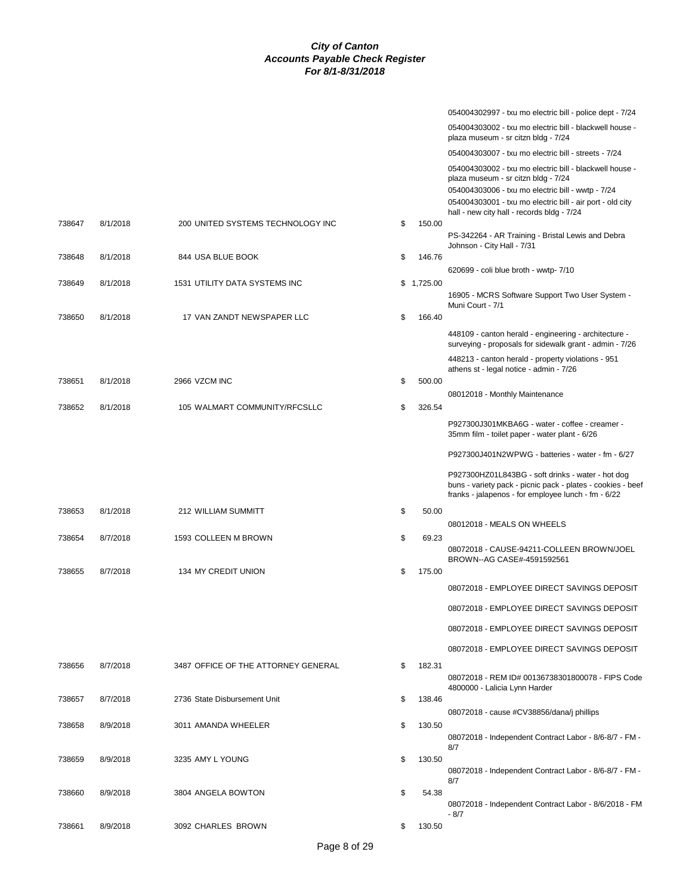|        |          |                                     |              | 054004302997 - txu mo electric bill - police dept - 7/24                                                                                                                                                                                                       |
|--------|----------|-------------------------------------|--------------|----------------------------------------------------------------------------------------------------------------------------------------------------------------------------------------------------------------------------------------------------------------|
|        |          |                                     |              | 054004303002 - txu mo electric bill - blackwell house -<br>plaza museum - sr citzn bldg - 7/24                                                                                                                                                                 |
|        |          |                                     |              | 054004303007 - txu mo electric bill - streets - 7/24                                                                                                                                                                                                           |
|        |          |                                     |              | 054004303002 - txu mo electric bill - blackwell house -<br>plaza museum - sr citzn bldg - 7/24<br>054004303006 - txu mo electric bill - wwtp - 7/24<br>054004303001 - txu mo electric bill - air port - old city<br>hall - new city hall - records bldg - 7/24 |
| 738647 | 8/1/2018 | 200 UNITED SYSTEMS TECHNOLOGY INC   | \$<br>150.00 | PS-342264 - AR Training - Bristal Lewis and Debra<br>Johnson - City Hall - 7/31                                                                                                                                                                                |
| 738648 | 8/1/2018 | 844 USA BLUE BOOK                   | \$<br>146.76 |                                                                                                                                                                                                                                                                |
| 738649 | 8/1/2018 | 1531 UTILITY DATA SYSTEMS INC       | \$1,725.00   | 620699 - coli blue broth - wwtp- 7/10                                                                                                                                                                                                                          |
|        |          |                                     |              | 16905 - MCRS Software Support Two User System -<br>Muni Court - 7/1                                                                                                                                                                                            |
| 738650 | 8/1/2018 | 17 VAN ZANDT NEWSPAPER LLC          | \$<br>166.40 |                                                                                                                                                                                                                                                                |
|        |          |                                     |              | 448109 - canton herald - engineering - architecture -<br>surveying - proposals for sidewalk grant - admin - 7/26                                                                                                                                               |
|        |          |                                     |              | 448213 - canton herald - property violations - 951<br>athens st - legal notice - admin - 7/26                                                                                                                                                                  |
| 738651 | 8/1/2018 | 2966 VZCM INC                       | \$<br>500.00 | 08012018 - Monthly Maintenance                                                                                                                                                                                                                                 |
| 738652 | 8/1/2018 | 105 WALMART COMMUNITY/RFCSLLC       | \$<br>326.54 |                                                                                                                                                                                                                                                                |
|        |          |                                     |              | P927300J301MKBA6G - water - coffee - creamer -<br>35mm film - toilet paper - water plant - 6/26                                                                                                                                                                |
|        |          |                                     |              | P927300J401N2WPWG - batteries - water - fm - 6/27                                                                                                                                                                                                              |
|        |          |                                     |              | P927300HZ01L843BG - soft drinks - water - hot dog<br>buns - variety pack - picnic pack - plates - cookies - beef<br>franks - jalapenos - for employee lunch - fm - 6/22                                                                                        |
| 738653 | 8/1/2018 | 212 WILLIAM SUMMITT                 | \$<br>50.00  |                                                                                                                                                                                                                                                                |
| 738654 | 8/7/2018 | 1593 COLLEEN M BROWN                | \$<br>69.23  | 08012018 - MEALS ON WHEELS                                                                                                                                                                                                                                     |
|        |          |                                     |              | 08072018 - CAUSE-94211-COLLEEN BROWN/JOEL<br>BROWN--AG CASE#-4591592561                                                                                                                                                                                        |
| 738655 | 8/7/2018 | 134 MY CREDIT UNION                 | \$<br>175.00 |                                                                                                                                                                                                                                                                |
|        |          |                                     |              | 08072018 - EMPLOYEE DIRECT SAVINGS DEPOSIT                                                                                                                                                                                                                     |
|        |          |                                     |              | 08072018 - EMPLOYEE DIRECT SAVINGS DEPOSIT                                                                                                                                                                                                                     |
|        |          |                                     |              | 08072018 - EMPLOYEE DIRECT SAVINGS DEPOSIT                                                                                                                                                                                                                     |
|        |          |                                     |              | 08072018 - EMPLOYEE DIRECT SAVINGS DEPOSIT                                                                                                                                                                                                                     |
| 738656 | 8/7/2018 | 3487 OFFICE OF THE ATTORNEY GENERAL | \$<br>182.31 | 08072018 - REM ID# 00136738301800078 - FIPS Code                                                                                                                                                                                                               |
| 738657 | 8/7/2018 | 2736 State Disbursement Unit        | \$<br>138.46 | 4800000 - Lalicia Lynn Harder                                                                                                                                                                                                                                  |
|        |          |                                     |              | 08072018 - cause #CV38856/dana/j phillips                                                                                                                                                                                                                      |
| 738658 | 8/9/2018 | 3011 AMANDA WHEELER                 | \$<br>130.50 |                                                                                                                                                                                                                                                                |
|        |          |                                     |              | 08072018 - Independent Contract Labor - 8/6-8/7 - FM -<br>8/7                                                                                                                                                                                                  |
| 738659 | 8/9/2018 | 3235 AMY L YOUNG                    | \$<br>130.50 |                                                                                                                                                                                                                                                                |
|        |          |                                     |              | 08072018 - Independent Contract Labor - 8/6-8/7 - FM -<br>8/7                                                                                                                                                                                                  |
| 738660 | 8/9/2018 | 3804 ANGELA BOWTON                  | \$<br>54.38  |                                                                                                                                                                                                                                                                |
|        |          |                                     |              | 08072018 - Independent Contract Labor - 8/6/2018 - FM<br>- 8/7                                                                                                                                                                                                 |
| 738661 | 8/9/2018 | 3092 CHARLES BROWN                  | \$<br>130.50 |                                                                                                                                                                                                                                                                |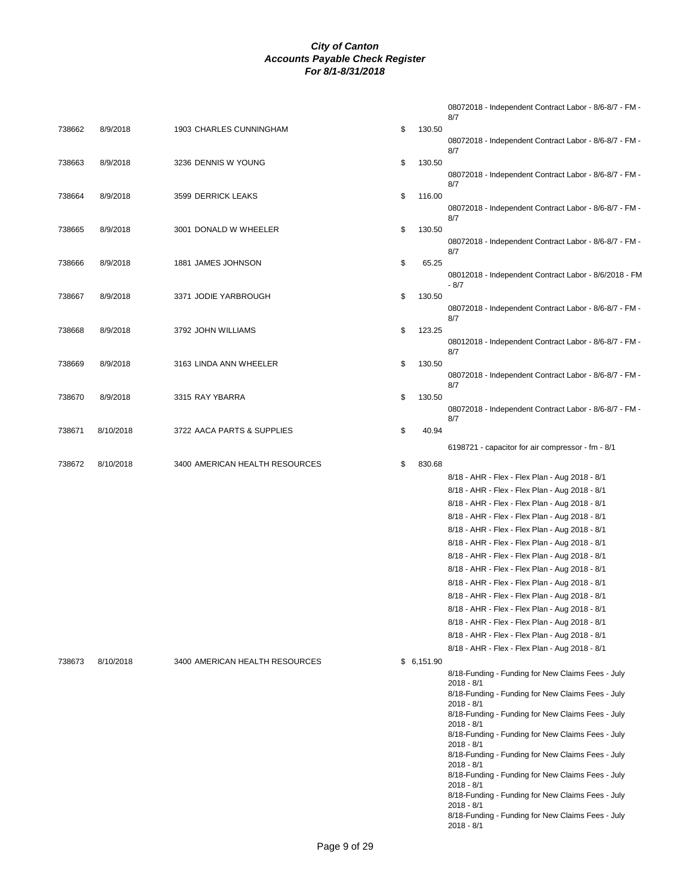|        |           |                                |              | 08072018 - Independent Contract Labor - 8/6-8/7 - FM -<br>8/7     |
|--------|-----------|--------------------------------|--------------|-------------------------------------------------------------------|
| 738662 | 8/9/2018  | 1903 CHARLES CUNNINGHAM        | \$<br>130.50 | 08072018 - Independent Contract Labor - 8/6-8/7 - FM -            |
| 738663 | 8/9/2018  | 3236 DENNIS W YOUNG            | 130.50<br>\$ | 8/7                                                               |
|        |           |                                |              | 08072018 - Independent Contract Labor - 8/6-8/7 - FM -<br>8/7     |
| 738664 | 8/9/2018  | 3599 DERRICK LEAKS             | \$<br>116.00 | 08072018 - Independent Contract Labor - 8/6-8/7 - FM -<br>8/7     |
| 738665 | 8/9/2018  | 3001 DONALD W WHEELER          | \$<br>130.50 | 08072018 - Independent Contract Labor - 8/6-8/7 - FM -<br>8/7     |
| 738666 | 8/9/2018  | 1881 JAMES JOHNSON             | \$<br>65.25  | 08012018 - Independent Contract Labor - 8/6/2018 - FM             |
| 738667 | 8/9/2018  | 3371 JODIE YARBROUGH           | \$<br>130.50 | - 8/7                                                             |
|        |           |                                |              | 08072018 - Independent Contract Labor - 8/6-8/7 - FM -<br>8/7     |
| 738668 | 8/9/2018  | 3792 JOHN WILLIAMS             | \$<br>123.25 | 08012018 - Independent Contract Labor - 8/6-8/7 - FM -            |
| 738669 | 8/9/2018  | 3163 LINDA ANN WHEELER         | \$<br>130.50 | 8/7                                                               |
|        |           |                                |              | 08072018 - Independent Contract Labor - 8/6-8/7 - FM -<br>8/7     |
| 738670 | 8/9/2018  | 3315 RAY YBARRA                | \$<br>130.50 | 08072018 - Independent Contract Labor - 8/6-8/7 - FM -            |
| 738671 | 8/10/2018 | 3722 AACA PARTS & SUPPLIES     | \$<br>40.94  | 8/7                                                               |
|        |           |                                |              | 6198721 - capacitor for air compressor - fm - 8/1                 |
| 738672 | 8/10/2018 | 3400 AMERICAN HEALTH RESOURCES | 830.68<br>\$ |                                                                   |
|        |           |                                |              | 8/18 - AHR - Flex - Flex Plan - Aug 2018 - 8/1                    |
|        |           |                                |              | 8/18 - AHR - Flex - Flex Plan - Aug 2018 - 8/1                    |
|        |           |                                |              | 8/18 - AHR - Flex - Flex Plan - Aug 2018 - 8/1                    |
|        |           |                                |              | 8/18 - AHR - Flex - Flex Plan - Aug 2018 - 8/1                    |
|        |           |                                |              | 8/18 - AHR - Flex - Flex Plan - Aug 2018 - 8/1                    |
|        |           |                                |              | 8/18 - AHR - Flex - Flex Plan - Aug 2018 - 8/1                    |
|        |           |                                |              | 8/18 - AHR - Flex - Flex Plan - Aug 2018 - 8/1                    |
|        |           |                                |              | 8/18 - AHR - Flex - Flex Plan - Aug 2018 - 8/1                    |
|        |           |                                |              | 8/18 - AHR - Flex - Flex Plan - Aug 2018 - 8/1                    |
|        |           |                                |              | 8/18 - AHR - Flex - Flex Plan - Aug 2018 - 8/1                    |
|        |           |                                |              | 8/18 - AHR - Flex - Flex Plan - Aug 2018 - 8/1                    |
|        |           |                                |              | 8/18 - AHR - Flex - Flex Plan - Aug 2018 - 8/1                    |
|        |           |                                |              | 8/18 - AHR - Flex - Flex Plan - Aug 2018 - 8/1                    |
|        |           |                                |              | 8/18 - AHR - Flex - Flex Plan - Aug 2018 - 8/1                    |
| 738673 | 8/10/2018 | 3400 AMERICAN HEALTH RESOURCES | \$6,151.90   |                                                                   |
|        |           |                                |              | 8/18-Funding - Funding for New Claims Fees - July<br>$2018 - 8/1$ |
|        |           |                                |              | 8/18-Funding - Funding for New Claims Fees - July<br>2018 - 8/1   |
|        |           |                                |              | 8/18-Funding - Funding for New Claims Fees - July<br>$2018 - 8/1$ |
|        |           |                                |              | 8/18-Funding - Funding for New Claims Fees - July<br>$2018 - 8/1$ |
|        |           |                                |              | 8/18-Funding - Funding for New Claims Fees - July<br>$2018 - 8/1$ |
|        |           |                                |              | 8/18-Funding - Funding for New Claims Fees - July<br>$2018 - 8/1$ |
|        |           |                                |              | 8/18-Funding - Funding for New Claims Fees - July<br>$2018 - 8/1$ |
|        |           |                                |              | 8/18-Funding - Funding for New Claims Fees - July<br>$2018 - 8/1$ |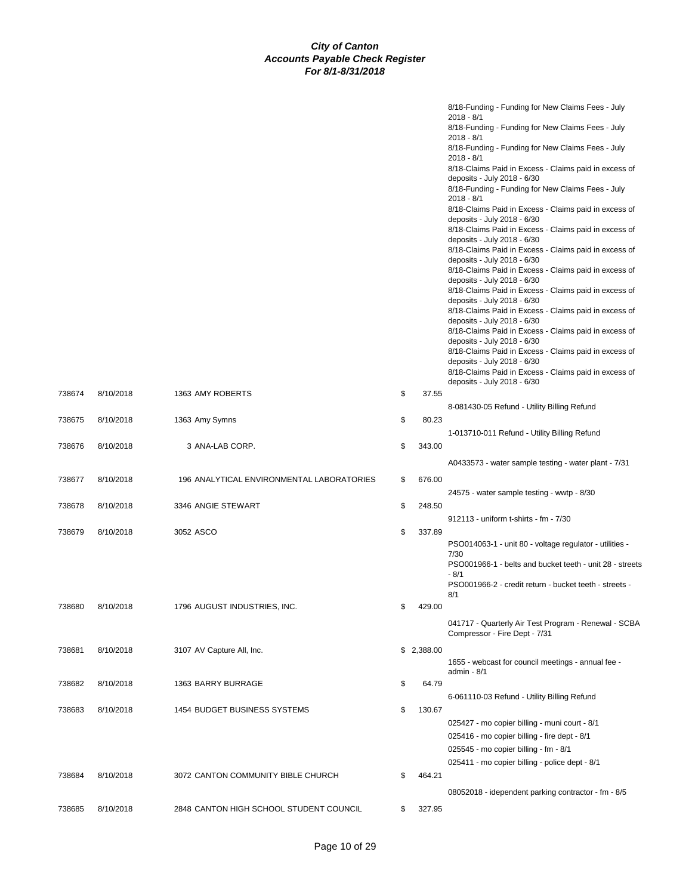|        |           |                                           |              | 8/18-Funding - Funding for New Claims Fees - July<br>$2018 - 8/1$<br>8/18-Funding - Funding for New Claims Fees - July<br>$2018 - 8/1$<br>8/18-Funding - Funding for New Claims Fees - July<br>$2018 - 8/1$<br>8/18-Claims Paid in Excess - Claims paid in excess of<br>deposits - July 2018 - 6/30<br>8/18-Funding - Funding for New Claims Fees - July<br>$2018 - 8/1$<br>8/18-Claims Paid in Excess - Claims paid in excess of<br>deposits - July 2018 - 6/30<br>8/18-Claims Paid in Excess - Claims paid in excess of<br>deposits - July 2018 - 6/30<br>8/18-Claims Paid in Excess - Claims paid in excess of<br>deposits - July 2018 - 6/30<br>8/18-Claims Paid in Excess - Claims paid in excess of<br>deposits - July 2018 - 6/30<br>8/18-Claims Paid in Excess - Claims paid in excess of<br>deposits - July 2018 - 6/30<br>8/18-Claims Paid in Excess - Claims paid in excess of<br>deposits - July 2018 - 6/30<br>8/18-Claims Paid in Excess - Claims paid in excess of |
|--------|-----------|-------------------------------------------|--------------|-----------------------------------------------------------------------------------------------------------------------------------------------------------------------------------------------------------------------------------------------------------------------------------------------------------------------------------------------------------------------------------------------------------------------------------------------------------------------------------------------------------------------------------------------------------------------------------------------------------------------------------------------------------------------------------------------------------------------------------------------------------------------------------------------------------------------------------------------------------------------------------------------------------------------------------------------------------------------------------|
|        |           |                                           |              | deposits - July 2018 - 6/30<br>8/18-Claims Paid in Excess - Claims paid in excess of<br>deposits - July 2018 - 6/30<br>8/18-Claims Paid in Excess - Claims paid in excess of                                                                                                                                                                                                                                                                                                                                                                                                                                                                                                                                                                                                                                                                                                                                                                                                      |
| 738674 | 8/10/2018 | 1363 AMY ROBERTS                          | \$<br>37.55  | deposits - July 2018 - 6/30                                                                                                                                                                                                                                                                                                                                                                                                                                                                                                                                                                                                                                                                                                                                                                                                                                                                                                                                                       |
|        |           |                                           |              | 8-081430-05 Refund - Utility Billing Refund                                                                                                                                                                                                                                                                                                                                                                                                                                                                                                                                                                                                                                                                                                                                                                                                                                                                                                                                       |
| 738675 | 8/10/2018 | 1363 Amy Symns                            | \$<br>80.23  |                                                                                                                                                                                                                                                                                                                                                                                                                                                                                                                                                                                                                                                                                                                                                                                                                                                                                                                                                                                   |
| 738676 | 8/10/2018 | 3 ANA-LAB CORP.                           | \$<br>343.00 | 1-013710-011 Refund - Utility Billing Refund                                                                                                                                                                                                                                                                                                                                                                                                                                                                                                                                                                                                                                                                                                                                                                                                                                                                                                                                      |
|        |           |                                           |              | A0433573 - water sample testing - water plant - 7/31                                                                                                                                                                                                                                                                                                                                                                                                                                                                                                                                                                                                                                                                                                                                                                                                                                                                                                                              |
| 738677 | 8/10/2018 | 196 ANALYTICAL ENVIRONMENTAL LABORATORIES | \$<br>676.00 |                                                                                                                                                                                                                                                                                                                                                                                                                                                                                                                                                                                                                                                                                                                                                                                                                                                                                                                                                                                   |
|        |           |                                           |              | 24575 - water sample testing - wwtp - 8/30                                                                                                                                                                                                                                                                                                                                                                                                                                                                                                                                                                                                                                                                                                                                                                                                                                                                                                                                        |
| 738678 | 8/10/2018 | 3346 ANGIE STEWART                        | \$<br>248.50 |                                                                                                                                                                                                                                                                                                                                                                                                                                                                                                                                                                                                                                                                                                                                                                                                                                                                                                                                                                                   |
|        |           |                                           |              | 912113 - uniform t-shirts - fm - 7/30                                                                                                                                                                                                                                                                                                                                                                                                                                                                                                                                                                                                                                                                                                                                                                                                                                                                                                                                             |
| 738679 | 8/10/2018 | 3052 ASCO                                 | \$<br>337.89 | PSO014063-1 - unit 80 - voltage regulator - utilities -<br>7/30<br>PSO001966-1 - belts and bucket teeth - unit 28 - streets<br>- 8/1<br>PSO001966-2 - credit return - bucket teeth - streets -<br>8/1                                                                                                                                                                                                                                                                                                                                                                                                                                                                                                                                                                                                                                                                                                                                                                             |
| 738680 | 8/10/2018 | 1796 AUGUST INDUSTRIES, INC.              | \$<br>429.00 |                                                                                                                                                                                                                                                                                                                                                                                                                                                                                                                                                                                                                                                                                                                                                                                                                                                                                                                                                                                   |
|        |           |                                           |              | 041717 - Quarterly Air Test Program - Renewal - SCBA<br>Compressor - Fire Dept - 7/31                                                                                                                                                                                                                                                                                                                                                                                                                                                                                                                                                                                                                                                                                                                                                                                                                                                                                             |
| 738681 | 8/10/2018 | 3107 AV Capture All, Inc.                 | \$2,388.00   |                                                                                                                                                                                                                                                                                                                                                                                                                                                                                                                                                                                                                                                                                                                                                                                                                                                                                                                                                                                   |
|        |           |                                           |              | 1655 - webcast for council meetings - annual fee -<br>admin - $8/1$                                                                                                                                                                                                                                                                                                                                                                                                                                                                                                                                                                                                                                                                                                                                                                                                                                                                                                               |
| 738682 | 8/10/2018 | 1363 BARRY BURRAGE                        | \$<br>64.79  |                                                                                                                                                                                                                                                                                                                                                                                                                                                                                                                                                                                                                                                                                                                                                                                                                                                                                                                                                                                   |
|        |           |                                           |              | 6-061110-03 Refund - Utility Billing Refund                                                                                                                                                                                                                                                                                                                                                                                                                                                                                                                                                                                                                                                                                                                                                                                                                                                                                                                                       |
| 738683 | 8/10/2018 | 1454 BUDGET BUSINESS SYSTEMS              | \$<br>130.67 | 025427 - mo copier billing - muni court - 8/1<br>025416 - mo copier billing - fire dept - 8/1<br>025545 - mo copier billing - fm - 8/1<br>025411 - mo copier billing - police dept - 8/1                                                                                                                                                                                                                                                                                                                                                                                                                                                                                                                                                                                                                                                                                                                                                                                          |
| 738684 | 8/10/2018 | 3072 CANTON COMMUNITY BIBLE CHURCH        | \$<br>464.21 |                                                                                                                                                                                                                                                                                                                                                                                                                                                                                                                                                                                                                                                                                                                                                                                                                                                                                                                                                                                   |
|        |           |                                           |              | 08052018 - idependent parking contractor - fm - 8/5                                                                                                                                                                                                                                                                                                                                                                                                                                                                                                                                                                                                                                                                                                                                                                                                                                                                                                                               |
| 738685 | 8/10/2018 | 2848 CANTON HIGH SCHOOL STUDENT COUNCIL   | \$<br>327.95 |                                                                                                                                                                                                                                                                                                                                                                                                                                                                                                                                                                                                                                                                                                                                                                                                                                                                                                                                                                                   |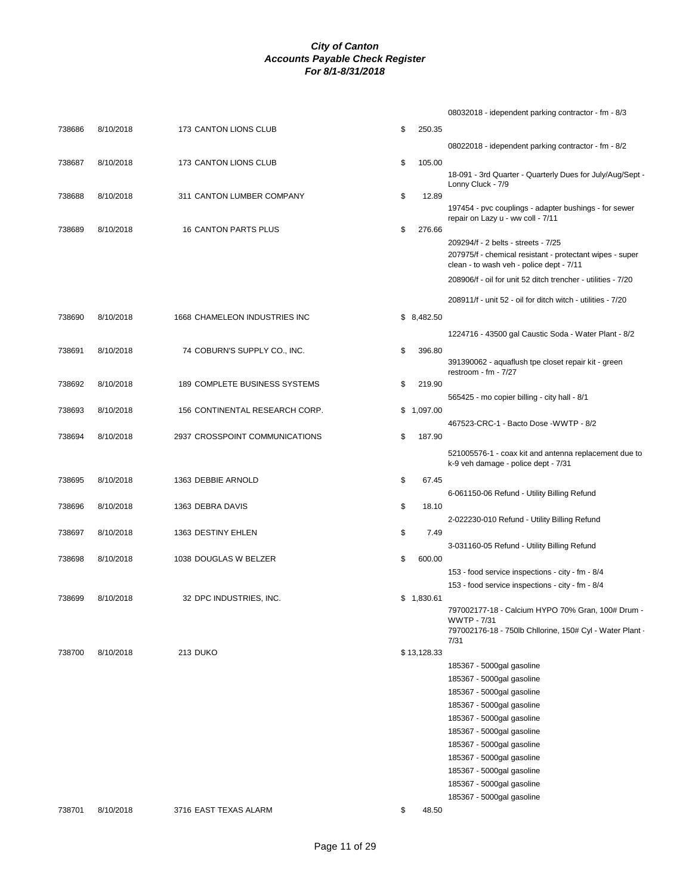|        |           |                                |              | 08032018 - idependent parking contractor - fm - 8/3                                                                                         |
|--------|-----------|--------------------------------|--------------|---------------------------------------------------------------------------------------------------------------------------------------------|
| 738686 | 8/10/2018 | 173 CANTON LIONS CLUB          | \$<br>250.35 |                                                                                                                                             |
|        |           |                                |              | 08022018 - idependent parking contractor - fm - 8/2                                                                                         |
| 738687 | 8/10/2018 | 173 CANTON LIONS CLUB          | \$<br>105.00 |                                                                                                                                             |
|        |           |                                |              | 18-091 - 3rd Quarter - Quarterly Dues for July/Aug/Sept -                                                                                   |
| 738688 | 8/10/2018 | 311 CANTON LUMBER COMPANY      | \$<br>12.89  | Lonny Cluck - 7/9                                                                                                                           |
|        |           |                                |              | 197454 - pvc couplings - adapter bushings - for sewer<br>repair on Lazy u - ww coll - 7/11                                                  |
| 738689 | 8/10/2018 | <b>16 CANTON PARTS PLUS</b>    | \$<br>276.66 |                                                                                                                                             |
|        |           |                                |              | 209294/f - 2 belts - streets - 7/25<br>207975/f - chemical resistant - protectant wipes - super<br>clean - to wash veh - police dept - 7/11 |
|        |           |                                |              | 208906/f - oil for unit 52 ditch trencher - utilities - 7/20                                                                                |
|        |           |                                |              | 208911/f - unit 52 - oil for ditch witch - utilities - 7/20                                                                                 |
| 738690 | 8/10/2018 | 1668 CHAMELEON INDUSTRIES INC  | \$8,482.50   |                                                                                                                                             |
|        |           |                                |              | 1224716 - 43500 gal Caustic Soda - Water Plant - 8/2                                                                                        |
| 738691 | 8/10/2018 | 74 COBURN'S SUPPLY CO., INC.   | \$<br>396.80 |                                                                                                                                             |
|        |           |                                |              | 391390062 - aquaflush tpe closet repair kit - green<br>restroom - $fm - 7/27$                                                               |
| 738692 | 8/10/2018 | 189 COMPLETE BUSINESS SYSTEMS  | \$<br>219.90 |                                                                                                                                             |
|        |           |                                |              | 565425 - mo copier billing - city hall - 8/1                                                                                                |
| 738693 | 8/10/2018 | 156 CONTINENTAL RESEARCH CORP. | \$1,097.00   |                                                                                                                                             |
|        |           |                                |              | 467523-CRC-1 - Bacto Dose -WWTP - 8/2                                                                                                       |
| 738694 | 8/10/2018 | 2937 CROSSPOINT COMMUNICATIONS | \$<br>187.90 |                                                                                                                                             |
|        |           |                                |              | 521005576-1 - coax kit and antenna replacement due to                                                                                       |
|        |           |                                |              | k-9 veh damage - police dept - 7/31                                                                                                         |
| 738695 | 8/10/2018 | 1363 DEBBIE ARNOLD             | \$<br>67.45  |                                                                                                                                             |
| 738696 | 8/10/2018 | 1363 DEBRA DAVIS               | \$<br>18.10  | 6-061150-06 Refund - Utility Billing Refund                                                                                                 |
|        |           |                                |              | 2-022230-010 Refund - Utility Billing Refund                                                                                                |
| 738697 | 8/10/2018 | 1363 DESTINY EHLEN             | \$<br>7.49   |                                                                                                                                             |
|        |           |                                |              | 3-031160-05 Refund - Utility Billing Refund                                                                                                 |
| 738698 | 8/10/2018 | 1038 DOUGLAS W BELZER          | \$<br>600.00 |                                                                                                                                             |
|        |           |                                |              | 153 - food service inspections - city - fm - 8/4                                                                                            |
|        |           |                                |              | 153 - food service inspections - city - fm - 8/4                                                                                            |
| 738699 | 8/10/2018 | 32 DPC INDUSTRIES, INC.        | \$1,830.61   |                                                                                                                                             |
|        |           |                                |              | 797002177-18 - Calcium HYPO 70% Gran, 100# Drum -<br>WWTP - 7/31                                                                            |
|        |           |                                |              | 797002176-18 - 750lb Chllorine, 150# Cyl - Water Plant -                                                                                    |
| 738700 | 8/10/2018 | 213 DUKO                       | \$13,128.33  | 7/31                                                                                                                                        |
|        |           |                                |              | 185367 - 5000gal gasoline                                                                                                                   |
|        |           |                                |              | 185367 - 5000gal gasoline                                                                                                                   |
|        |           |                                |              | 185367 - 5000gal gasoline                                                                                                                   |
|        |           |                                |              | 185367 - 5000gal gasoline                                                                                                                   |
|        |           |                                |              | 185367 - 5000gal gasoline                                                                                                                   |
|        |           |                                |              | 185367 - 5000gal gasoline                                                                                                                   |
|        |           |                                |              | 185367 - 5000gal gasoline                                                                                                                   |
|        |           |                                |              | 185367 - 5000gal gasoline                                                                                                                   |
|        |           |                                |              | 185367 - 5000gal gasoline                                                                                                                   |
|        |           |                                |              | 185367 - 5000gal gasoline                                                                                                                   |
|        |           |                                |              | 185367 - 5000gal gasoline                                                                                                                   |
| 738701 | 8/10/2018 | 3716 EAST TEXAS ALARM          | \$<br>48.50  |                                                                                                                                             |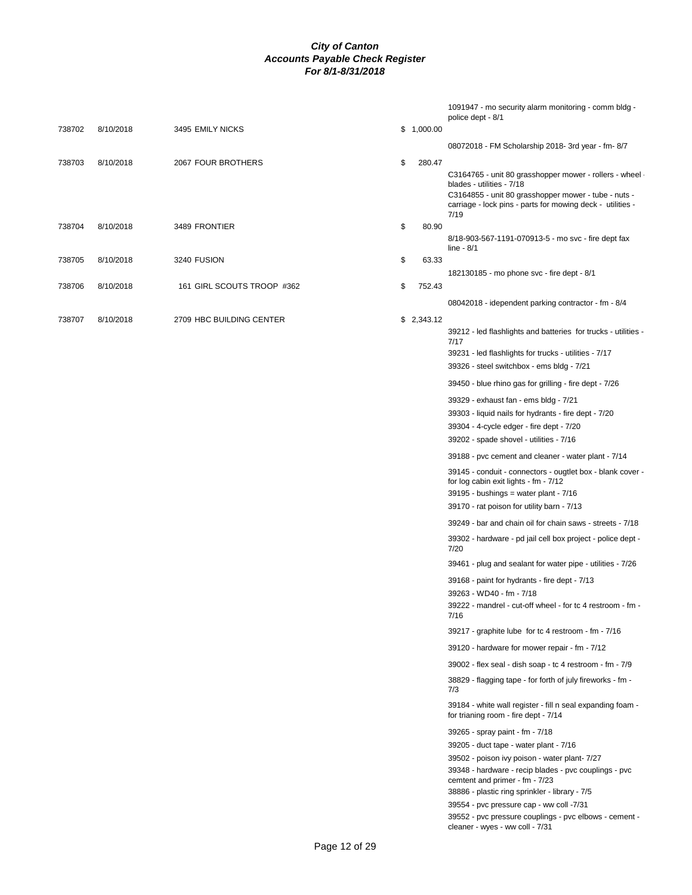|        |           |                            |              | 1091947 - mo security alarm monitoring - comm bldg -<br>police dept - 8/1                                                                                                                                           |
|--------|-----------|----------------------------|--------------|---------------------------------------------------------------------------------------------------------------------------------------------------------------------------------------------------------------------|
| 738702 | 8/10/2018 | 3495 EMILY NICKS           | \$1,000.00   |                                                                                                                                                                                                                     |
|        |           |                            |              | 08072018 - FM Scholarship 2018- 3rd year - fm- 8/7                                                                                                                                                                  |
| 738703 | 8/10/2018 | 2067 FOUR BROTHERS         | \$<br>280.47 | C3164765 - unit 80 grasshopper mower - rollers - wheel -<br>blades - utilities - 7/18<br>C3164855 - unit 80 grasshopper mower - tube - nuts -<br>carriage - lock pins - parts for mowing deck - utilities -<br>7/19 |
| 738704 | 8/10/2018 | 3489 FRONTIER              | \$<br>80.90  | 8/18-903-567-1191-070913-5 - mo svc - fire dept fax                                                                                                                                                                 |
|        |           |                            |              | line - $8/1$                                                                                                                                                                                                        |
| 738705 | 8/10/2018 | 3240 FUSION                | \$<br>63.33  |                                                                                                                                                                                                                     |
| 738706 | 8/10/2018 | 161 GIRL SCOUTS TROOP #362 | \$<br>752.43 | 182130185 - mo phone svc - fire dept - 8/1                                                                                                                                                                          |
|        |           |                            |              |                                                                                                                                                                                                                     |
|        |           |                            |              | 08042018 - idependent parking contractor - fm - 8/4                                                                                                                                                                 |
| 738707 | 8/10/2018 | 2709 HBC BUILDING CENTER   | \$2,343.12   | 39212 - led flashlights and batteries for trucks - utilities -<br>7/17                                                                                                                                              |
|        |           |                            |              | 39231 - led flashlights for trucks - utilities - 7/17                                                                                                                                                               |
|        |           |                            |              | 39326 - steel switchbox - ems bldg - 7/21                                                                                                                                                                           |
|        |           |                            |              | 39450 - blue rhino gas for grilling - fire dept - 7/26                                                                                                                                                              |
|        |           |                            |              | 39329 - exhaust fan - ems bldg - 7/21                                                                                                                                                                               |
|        |           |                            |              | 39303 - liquid nails for hydrants - fire dept - 7/20                                                                                                                                                                |
|        |           |                            |              | 39304 - 4-cycle edger - fire dept - 7/20                                                                                                                                                                            |
|        |           |                            |              | 39202 - spade shovel - utilities - 7/16                                                                                                                                                                             |
|        |           |                            |              | 39188 - pvc cement and cleaner - water plant - 7/14                                                                                                                                                                 |
|        |           |                            |              | 39145 - conduit - connectors - ougtlet box - blank cover -<br>for log cabin exit lights - fm - 7/12                                                                                                                 |
|        |           |                            |              | $39195$ - bushings = water plant - $7/16$                                                                                                                                                                           |
|        |           |                            |              | 39170 - rat poison for utility barn - 7/13                                                                                                                                                                          |
|        |           |                            |              | 39249 - bar and chain oil for chain saws - streets - 7/18                                                                                                                                                           |
|        |           |                            |              | 39302 - hardware - pd jail cell box project - police dept -<br>7/20                                                                                                                                                 |
|        |           |                            |              | 39461 - plug and sealant for water pipe - utilities - 7/26                                                                                                                                                          |
|        |           |                            |              | 39168 - paint for hydrants - fire dept - 7/13                                                                                                                                                                       |
|        |           |                            |              | 39263 - WD40 - fm - 7/18                                                                                                                                                                                            |
|        |           |                            |              | 39222 - mandrel - cut-off wheel - for tc 4 restroom - fm<br>7/16                                                                                                                                                    |
|        |           |                            |              | 39217 - graphite lube for tc 4 restroom - fm - 7/16                                                                                                                                                                 |
|        |           |                            |              | 39120 - hardware for mower repair - fm - 7/12                                                                                                                                                                       |
|        |           |                            |              | 39002 - flex seal - dish soap - tc 4 restroom - fm - 7/9                                                                                                                                                            |
|        |           |                            |              | 38829 - flagging tape - for forth of july fireworks - fm -<br>7/3                                                                                                                                                   |
|        |           |                            |              | 39184 - white wall register - fill n seal expanding foam -<br>for trianing room - fire dept - 7/14                                                                                                                  |
|        |           |                            |              | 39265 - spray paint - fm - 7/18                                                                                                                                                                                     |
|        |           |                            |              | 39205 - duct tape - water plant - 7/16                                                                                                                                                                              |
|        |           |                            |              | 39502 - poison ivy poison - water plant- 7/27                                                                                                                                                                       |
|        |           |                            |              | 39348 - hardware - recip blades - pvc couplings - pvc                                                                                                                                                               |
|        |           |                            |              | cemtent and primer - fm - 7/23                                                                                                                                                                                      |
|        |           |                            |              | 38886 - plastic ring sprinkler - library - 7/5                                                                                                                                                                      |
|        |           |                            |              | 39554 - pvc pressure cap - ww coll -7/31<br>39552 - pvc pressure couplings - pvc elbows - cement -                                                                                                                  |
|        |           |                            |              | cleaner - wyes - ww coll - 7/31                                                                                                                                                                                     |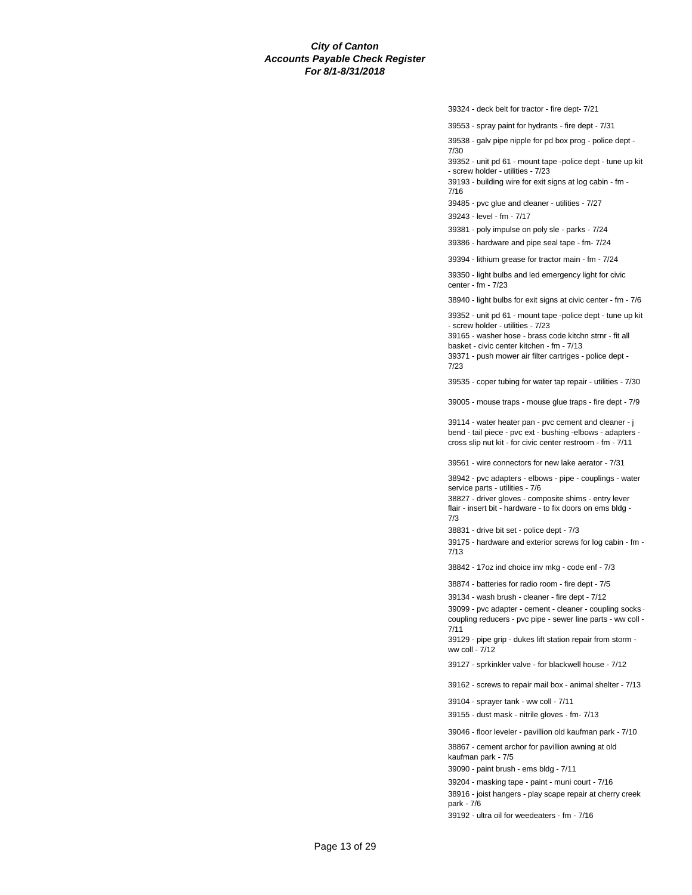39324 - deck belt for tractor - fire dept- 7/21

39553 - spray paint for hydrants - fire dept - 7/31

39538 - galv pipe nipple for pd box prog - police dept - 7/30

39352 - unit pd 61 - mount tape -police dept - tune up kit - screw holder - utilities - 7/23

39193 - building wire for exit signs at log cabin - fm - 7/16

39485 - pvc glue and cleaner - utilities - 7/27

39243 - level - fm - 7/17

39381 - poly impulse on poly sle - parks - 7/24

39386 - hardware and pipe seal tape - fm- 7/24

39394 - lithium grease for tractor main - fm - 7/24

39350 - light bulbs and led emergency light for civic center - fm - 7/23

38940 - light bulbs for exit signs at civic center - fm - 7/6

39352 - unit pd 61 - mount tape -police dept - tune up kit - screw holder - utilities - 7/23

39165 - washer hose - brass code kitchn strnr - fit all basket - civic center kitchen - fm - 7/13

39371 - push mower air filter cartriges - police dept - 7/23

39535 - coper tubing for water tap repair - utilities - 7/30

39005 - mouse traps - mouse glue traps - fire dept - 7/9

39114 - water heater pan - pvc cement and cleaner - j bend - tail piece - pvc ext - bushing -elbows - adapters cross slip nut kit - for civic center restroom - fm - 7/11

39561 - wire connectors for new lake aerator - 7/31

38942 - pvc adapters - elbows - pipe - couplings - water service parts - utilities - 7/6

38827 - driver gloves - composite shims - entry lever flair - insert bit - hardware - to fix doors on ems bldg - 7/3

38831 - drive bit set - police dept - 7/3

39175 - hardware and exterior screws for log cabin - fm - 7/13

38842 - 17oz ind choice inv mkg - code enf - 7/3

38874 - batteries for radio room - fire dept - 7/5

39134 - wash brush - cleaner - fire dept - 7/12

39099 - pvc adapter - cement - cleaner - coupling socks coupling reducers - pvc pipe - sewer line parts - ww coll - 7/11

39129 - pipe grip - dukes lift station repair from storm ww coll - 7/12

39127 - sprkinkler valve - for blackwell house - 7/12

39162 - screws to repair mail box - animal shelter - 7/13

39104 - sprayer tank - ww coll - 7/11

39155 - dust mask - nitrile gloves - fm- 7/13

39046 - floor leveler - pavillion old kaufman park - 7/10

38867 - cement archor for pavillion awning at old kaufman park - 7/5

39090 - paint brush - ems bldg - 7/11

39204 - masking tape - paint - muni court - 7/16

38916 - joist hangers - play scape repair at cherry creek park - 7/6

39192 - ultra oil for weedeaters - fm - 7/16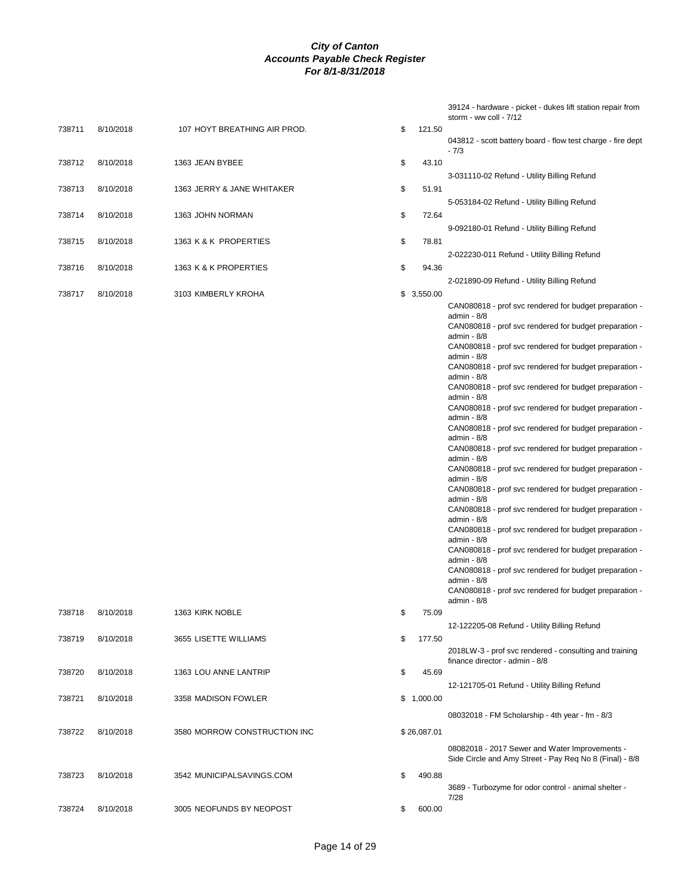| 738711<br>$-7/3$<br>43.10<br>738712<br>8/10/2018<br>\$<br>1363 JEAN BYBEE<br>3-031110-02 Refund - Utility Billing Refund<br>738713<br>8/10/2018<br>\$<br>51.91<br>1363 JERRY & JANE WHITAKER<br>5-053184-02 Refund - Utility Billing Refund<br>\$<br>738714<br>8/10/2018<br>1363 JOHN NORMAN<br>72.64<br>9-092180-01 Refund - Utility Billing Refund<br>\$<br>78.81<br>738715<br>8/10/2018<br>1363 K & K PROPERTIES<br>2-022230-011 Refund - Utility Billing Refund<br>\$<br>94.36<br>738716<br>8/10/2018<br>1363 K & K PROPERTIES<br>2-021890-09 Refund - Utility Billing Refund<br>738717<br>8/10/2018<br>3103 KIMBERLY KROHA<br>\$3,550.00<br>admin - 8/8<br>admin - 8/8<br>admin - 8/8<br>admin - 8/8<br>admin - 8/8<br>admin - 8/8<br>admin - 8/8<br>admin - 8/8<br>admin - 8/8<br>admin - 8/8<br>admin - 8/8<br>admin - 8/8<br>admin - $8/8$<br>admin - 8/8<br>admin - $8/8$<br>\$<br>1363 KIRK NOBLE<br>75.09<br>738718<br>8/10/2018<br>12-122205-08 Refund - Utility Billing Refund<br>738719<br>8/10/2018<br>3655 LISETTE WILLIAMS<br>\$<br>177.50<br>2018LW-3 - prof svc rendered - consulting and training<br>finance director - admin - 8/8<br>8/10/2018<br>\$<br>45.69<br>738720<br>1363 LOU ANNE LANTRIP<br>12-121705-01 Refund - Utility Billing Refund<br>\$1,000.00<br>738721<br>8/10/2018<br>3358 MADISON FOWLER<br>08032018 - FM Scholarship - 4th year - fm - 8/3<br>738722<br>8/10/2018<br>\$26,087.01<br>3580 MORROW CONSTRUCTION INC<br>08082018 - 2017 Sewer and Water Improvements -<br>738723<br>8/10/2018<br>3542 MUNICIPALSAVINGS.COM<br>\$<br>490.88<br>3689 - Turbozyme for odor control - animal shelter -<br>7/28<br>738724 |  |           |                              |              | 39124 - hardware - picket - dukes lift station repair from<br>storm - ww coll - 7/12 |
|-------------------------------------------------------------------------------------------------------------------------------------------------------------------------------------------------------------------------------------------------------------------------------------------------------------------------------------------------------------------------------------------------------------------------------------------------------------------------------------------------------------------------------------------------------------------------------------------------------------------------------------------------------------------------------------------------------------------------------------------------------------------------------------------------------------------------------------------------------------------------------------------------------------------------------------------------------------------------------------------------------------------------------------------------------------------------------------------------------------------------------------------------------------------------------------------------------------------------------------------------------------------------------------------------------------------------------------------------------------------------------------------------------------------------------------------------------------------------------------------------------------------------------------------------------------------------------------------------------------------------------------------------------------|--|-----------|------------------------------|--------------|--------------------------------------------------------------------------------------|
|                                                                                                                                                                                                                                                                                                                                                                                                                                                                                                                                                                                                                                                                                                                                                                                                                                                                                                                                                                                                                                                                                                                                                                                                                                                                                                                                                                                                                                                                                                                                                                                                                                                             |  | 8/10/2018 | 107 HOYT BREATHING AIR PROD. | \$<br>121.50 | 043812 - scott battery board - flow test charge - fire dept                          |
|                                                                                                                                                                                                                                                                                                                                                                                                                                                                                                                                                                                                                                                                                                                                                                                                                                                                                                                                                                                                                                                                                                                                                                                                                                                                                                                                                                                                                                                                                                                                                                                                                                                             |  |           |                              |              |                                                                                      |
|                                                                                                                                                                                                                                                                                                                                                                                                                                                                                                                                                                                                                                                                                                                                                                                                                                                                                                                                                                                                                                                                                                                                                                                                                                                                                                                                                                                                                                                                                                                                                                                                                                                             |  |           |                              |              |                                                                                      |
|                                                                                                                                                                                                                                                                                                                                                                                                                                                                                                                                                                                                                                                                                                                                                                                                                                                                                                                                                                                                                                                                                                                                                                                                                                                                                                                                                                                                                                                                                                                                                                                                                                                             |  |           |                              |              |                                                                                      |
|                                                                                                                                                                                                                                                                                                                                                                                                                                                                                                                                                                                                                                                                                                                                                                                                                                                                                                                                                                                                                                                                                                                                                                                                                                                                                                                                                                                                                                                                                                                                                                                                                                                             |  |           |                              |              |                                                                                      |
|                                                                                                                                                                                                                                                                                                                                                                                                                                                                                                                                                                                                                                                                                                                                                                                                                                                                                                                                                                                                                                                                                                                                                                                                                                                                                                                                                                                                                                                                                                                                                                                                                                                             |  |           |                              |              |                                                                                      |
|                                                                                                                                                                                                                                                                                                                                                                                                                                                                                                                                                                                                                                                                                                                                                                                                                                                                                                                                                                                                                                                                                                                                                                                                                                                                                                                                                                                                                                                                                                                                                                                                                                                             |  |           |                              |              |                                                                                      |
|                                                                                                                                                                                                                                                                                                                                                                                                                                                                                                                                                                                                                                                                                                                                                                                                                                                                                                                                                                                                                                                                                                                                                                                                                                                                                                                                                                                                                                                                                                                                                                                                                                                             |  |           |                              |              |                                                                                      |
|                                                                                                                                                                                                                                                                                                                                                                                                                                                                                                                                                                                                                                                                                                                                                                                                                                                                                                                                                                                                                                                                                                                                                                                                                                                                                                                                                                                                                                                                                                                                                                                                                                                             |  |           |                              |              | CAN080818 - prof svc rendered for budget preparation -                               |
|                                                                                                                                                                                                                                                                                                                                                                                                                                                                                                                                                                                                                                                                                                                                                                                                                                                                                                                                                                                                                                                                                                                                                                                                                                                                                                                                                                                                                                                                                                                                                                                                                                                             |  |           |                              |              | CAN080818 - prof svc rendered for budget preparation -                               |
|                                                                                                                                                                                                                                                                                                                                                                                                                                                                                                                                                                                                                                                                                                                                                                                                                                                                                                                                                                                                                                                                                                                                                                                                                                                                                                                                                                                                                                                                                                                                                                                                                                                             |  |           |                              |              | CAN080818 - prof svc rendered for budget preparation -                               |
|                                                                                                                                                                                                                                                                                                                                                                                                                                                                                                                                                                                                                                                                                                                                                                                                                                                                                                                                                                                                                                                                                                                                                                                                                                                                                                                                                                                                                                                                                                                                                                                                                                                             |  |           |                              |              | CAN080818 - prof svc rendered for budget preparation -                               |
|                                                                                                                                                                                                                                                                                                                                                                                                                                                                                                                                                                                                                                                                                                                                                                                                                                                                                                                                                                                                                                                                                                                                                                                                                                                                                                                                                                                                                                                                                                                                                                                                                                                             |  |           |                              |              | CAN080818 - prof svc rendered for budget preparation -                               |
|                                                                                                                                                                                                                                                                                                                                                                                                                                                                                                                                                                                                                                                                                                                                                                                                                                                                                                                                                                                                                                                                                                                                                                                                                                                                                                                                                                                                                                                                                                                                                                                                                                                             |  |           |                              |              | CAN080818 - prof svc rendered for budget preparation -                               |
|                                                                                                                                                                                                                                                                                                                                                                                                                                                                                                                                                                                                                                                                                                                                                                                                                                                                                                                                                                                                                                                                                                                                                                                                                                                                                                                                                                                                                                                                                                                                                                                                                                                             |  |           |                              |              | CAN080818 - prof svc rendered for budget preparation -                               |
|                                                                                                                                                                                                                                                                                                                                                                                                                                                                                                                                                                                                                                                                                                                                                                                                                                                                                                                                                                                                                                                                                                                                                                                                                                                                                                                                                                                                                                                                                                                                                                                                                                                             |  |           |                              |              | CAN080818 - prof svc rendered for budget preparation -                               |
|                                                                                                                                                                                                                                                                                                                                                                                                                                                                                                                                                                                                                                                                                                                                                                                                                                                                                                                                                                                                                                                                                                                                                                                                                                                                                                                                                                                                                                                                                                                                                                                                                                                             |  |           |                              |              | CAN080818 - prof svc rendered for budget preparation -                               |
|                                                                                                                                                                                                                                                                                                                                                                                                                                                                                                                                                                                                                                                                                                                                                                                                                                                                                                                                                                                                                                                                                                                                                                                                                                                                                                                                                                                                                                                                                                                                                                                                                                                             |  |           |                              |              | CAN080818 - prof svc rendered for budget preparation -                               |
|                                                                                                                                                                                                                                                                                                                                                                                                                                                                                                                                                                                                                                                                                                                                                                                                                                                                                                                                                                                                                                                                                                                                                                                                                                                                                                                                                                                                                                                                                                                                                                                                                                                             |  |           |                              |              | CAN080818 - prof svc rendered for budget preparation -                               |
|                                                                                                                                                                                                                                                                                                                                                                                                                                                                                                                                                                                                                                                                                                                                                                                                                                                                                                                                                                                                                                                                                                                                                                                                                                                                                                                                                                                                                                                                                                                                                                                                                                                             |  |           |                              |              | CAN080818 - prof svc rendered for budget preparation -                               |
|                                                                                                                                                                                                                                                                                                                                                                                                                                                                                                                                                                                                                                                                                                                                                                                                                                                                                                                                                                                                                                                                                                                                                                                                                                                                                                                                                                                                                                                                                                                                                                                                                                                             |  |           |                              |              | CAN080818 - prof svc rendered for budget preparation -                               |
|                                                                                                                                                                                                                                                                                                                                                                                                                                                                                                                                                                                                                                                                                                                                                                                                                                                                                                                                                                                                                                                                                                                                                                                                                                                                                                                                                                                                                                                                                                                                                                                                                                                             |  |           |                              |              | CAN080818 - prof svc rendered for budget preparation -                               |
|                                                                                                                                                                                                                                                                                                                                                                                                                                                                                                                                                                                                                                                                                                                                                                                                                                                                                                                                                                                                                                                                                                                                                                                                                                                                                                                                                                                                                                                                                                                                                                                                                                                             |  |           |                              |              | CAN080818 - prof svc rendered for budget preparation -                               |
|                                                                                                                                                                                                                                                                                                                                                                                                                                                                                                                                                                                                                                                                                                                                                                                                                                                                                                                                                                                                                                                                                                                                                                                                                                                                                                                                                                                                                                                                                                                                                                                                                                                             |  |           |                              |              |                                                                                      |
|                                                                                                                                                                                                                                                                                                                                                                                                                                                                                                                                                                                                                                                                                                                                                                                                                                                                                                                                                                                                                                                                                                                                                                                                                                                                                                                                                                                                                                                                                                                                                                                                                                                             |  |           |                              |              |                                                                                      |
|                                                                                                                                                                                                                                                                                                                                                                                                                                                                                                                                                                                                                                                                                                                                                                                                                                                                                                                                                                                                                                                                                                                                                                                                                                                                                                                                                                                                                                                                                                                                                                                                                                                             |  |           |                              |              |                                                                                      |
|                                                                                                                                                                                                                                                                                                                                                                                                                                                                                                                                                                                                                                                                                                                                                                                                                                                                                                                                                                                                                                                                                                                                                                                                                                                                                                                                                                                                                                                                                                                                                                                                                                                             |  |           |                              |              |                                                                                      |
|                                                                                                                                                                                                                                                                                                                                                                                                                                                                                                                                                                                                                                                                                                                                                                                                                                                                                                                                                                                                                                                                                                                                                                                                                                                                                                                                                                                                                                                                                                                                                                                                                                                             |  |           |                              |              |                                                                                      |
|                                                                                                                                                                                                                                                                                                                                                                                                                                                                                                                                                                                                                                                                                                                                                                                                                                                                                                                                                                                                                                                                                                                                                                                                                                                                                                                                                                                                                                                                                                                                                                                                                                                             |  |           |                              |              |                                                                                      |
|                                                                                                                                                                                                                                                                                                                                                                                                                                                                                                                                                                                                                                                                                                                                                                                                                                                                                                                                                                                                                                                                                                                                                                                                                                                                                                                                                                                                                                                                                                                                                                                                                                                             |  |           |                              |              |                                                                                      |
|                                                                                                                                                                                                                                                                                                                                                                                                                                                                                                                                                                                                                                                                                                                                                                                                                                                                                                                                                                                                                                                                                                                                                                                                                                                                                                                                                                                                                                                                                                                                                                                                                                                             |  |           |                              |              | Side Circle and Amy Street - Pay Req No 8 (Final) - 8/8                              |
|                                                                                                                                                                                                                                                                                                                                                                                                                                                                                                                                                                                                                                                                                                                                                                                                                                                                                                                                                                                                                                                                                                                                                                                                                                                                                                                                                                                                                                                                                                                                                                                                                                                             |  |           |                              |              |                                                                                      |
|                                                                                                                                                                                                                                                                                                                                                                                                                                                                                                                                                                                                                                                                                                                                                                                                                                                                                                                                                                                                                                                                                                                                                                                                                                                                                                                                                                                                                                                                                                                                                                                                                                                             |  | 8/10/2018 | 3005 NEOFUNDS BY NEOPOST     | \$<br>600.00 |                                                                                      |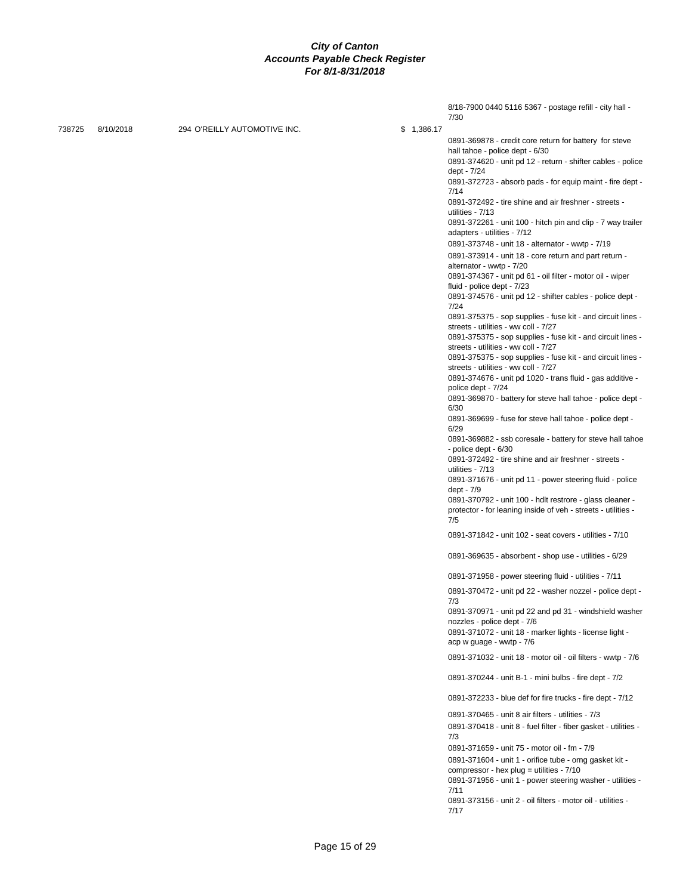| \$1,386.17<br>738725<br>8/10/2018<br>294 O'REILLY AUTOMOTIVE INC.<br>hall tahoe - police dept - 6/30<br>dept - 7/24<br>7/14<br>0891-372492 - tire shine and air freshner - streets -<br>utilities - 7/13<br>adapters - utilities - 7/12<br>0891-373748 - unit 18 - alternator - wwtp - 7/19<br>0891-373914 - unit 18 - core return and part return -<br>alternator - wwtp - 7/20<br>0891-374367 - unit pd 61 - oil filter - motor oil - wiper<br>fluid - police dept - 7/23<br>7/24<br>streets - utilities - ww coll - 7/27<br>0891-375375 - sop supplies - fuse kit - and circuit lines -<br>streets - utilities - ww coll - 7/27<br>streets - utilities - ww coll - 7/27<br>police dept - 7/24<br>6/30<br>0891-369699 - fuse for steve hall tahoe - police dept -<br>6/29<br>- police dept - 6/30<br>0891-372492 - tire shine and air freshner - streets -<br>utilities - 7/13<br>dept - 7/9<br>7/5<br>0891-371842 - unit 102 - seat covers - utilities - 7/10<br>0891-369635 - absorbent - shop use - utilities - 6/29<br>0891-371958 - power steering fluid - utilities - 7/11<br>7/3<br>0891-370971 - unit pd 22 and pd 31 - windshield washer<br>nozzles - police dept - 7/6<br>0891-371072 - unit 18 - marker lights - license light -<br>acp w guage - wwtp - 7/6<br>0891-370244 - unit B-1 - mini bulbs - fire dept - 7/2<br>0891-370465 - unit 8 air filters - utilities - 7/3<br>7/3<br>0891-371659 - unit 75 - motor oil - fm - 7/9<br>0891-371604 - unit 1 - orifice tube - orng gasket kit -<br>compressor - hex plug = utilities - $7/10$<br>7/11<br>0891-373156 - unit 2 - oil filters - motor oil - utilities - |  |  | 8/18-7900 0440 5116 5367 - postage refill - city hall -<br>7/30                                                                                                                                                                                                                                                                                                               |
|----------------------------------------------------------------------------------------------------------------------------------------------------------------------------------------------------------------------------------------------------------------------------------------------------------------------------------------------------------------------------------------------------------------------------------------------------------------------------------------------------------------------------------------------------------------------------------------------------------------------------------------------------------------------------------------------------------------------------------------------------------------------------------------------------------------------------------------------------------------------------------------------------------------------------------------------------------------------------------------------------------------------------------------------------------------------------------------------------------------------------------------------------------------------------------------------------------------------------------------------------------------------------------------------------------------------------------------------------------------------------------------------------------------------------------------------------------------------------------------------------------------------------------------------------------------------------------------------------------------------------------|--|--|-------------------------------------------------------------------------------------------------------------------------------------------------------------------------------------------------------------------------------------------------------------------------------------------------------------------------------------------------------------------------------|
|                                                                                                                                                                                                                                                                                                                                                                                                                                                                                                                                                                                                                                                                                                                                                                                                                                                                                                                                                                                                                                                                                                                                                                                                                                                                                                                                                                                                                                                                                                                                                                                                                                  |  |  |                                                                                                                                                                                                                                                                                                                                                                               |
|                                                                                                                                                                                                                                                                                                                                                                                                                                                                                                                                                                                                                                                                                                                                                                                                                                                                                                                                                                                                                                                                                                                                                                                                                                                                                                                                                                                                                                                                                                                                                                                                                                  |  |  | 0891-369878 - credit core return for battery for steve<br>0891-374620 - unit pd 12 - return - shifter cables - police<br>0891-372723 - absorb pads - for equip maint - fire dept -<br>0891-372261 - unit 100 - hitch pin and clip - 7 way trailer<br>0891-374576 - unit pd 12 - shifter cables - police dept -<br>0891-375375 - sop supplies - fuse kit - and circuit lines - |
|                                                                                                                                                                                                                                                                                                                                                                                                                                                                                                                                                                                                                                                                                                                                                                                                                                                                                                                                                                                                                                                                                                                                                                                                                                                                                                                                                                                                                                                                                                                                                                                                                                  |  |  | 0891-375375 - sop supplies - fuse kit - and circuit lines -<br>0891-374676 - unit pd 1020 - trans fluid - gas additive -                                                                                                                                                                                                                                                      |
|                                                                                                                                                                                                                                                                                                                                                                                                                                                                                                                                                                                                                                                                                                                                                                                                                                                                                                                                                                                                                                                                                                                                                                                                                                                                                                                                                                                                                                                                                                                                                                                                                                  |  |  | 0891-369870 - battery for steve hall tahoe - police dept -                                                                                                                                                                                                                                                                                                                    |
|                                                                                                                                                                                                                                                                                                                                                                                                                                                                                                                                                                                                                                                                                                                                                                                                                                                                                                                                                                                                                                                                                                                                                                                                                                                                                                                                                                                                                                                                                                                                                                                                                                  |  |  | 0891-369882 - ssb coresale - battery for steve hall tahoe                                                                                                                                                                                                                                                                                                                     |
|                                                                                                                                                                                                                                                                                                                                                                                                                                                                                                                                                                                                                                                                                                                                                                                                                                                                                                                                                                                                                                                                                                                                                                                                                                                                                                                                                                                                                                                                                                                                                                                                                                  |  |  |                                                                                                                                                                                                                                                                                                                                                                               |
|                                                                                                                                                                                                                                                                                                                                                                                                                                                                                                                                                                                                                                                                                                                                                                                                                                                                                                                                                                                                                                                                                                                                                                                                                                                                                                                                                                                                                                                                                                                                                                                                                                  |  |  | 0891-371676 - unit pd 11 - power steering fluid - police<br>0891-370792 - unit 100 - hdlt restrore - glass cleaner -                                                                                                                                                                                                                                                          |
|                                                                                                                                                                                                                                                                                                                                                                                                                                                                                                                                                                                                                                                                                                                                                                                                                                                                                                                                                                                                                                                                                                                                                                                                                                                                                                                                                                                                                                                                                                                                                                                                                                  |  |  | protector - for leaning inside of veh - streets - utilities -                                                                                                                                                                                                                                                                                                                 |
|                                                                                                                                                                                                                                                                                                                                                                                                                                                                                                                                                                                                                                                                                                                                                                                                                                                                                                                                                                                                                                                                                                                                                                                                                                                                                                                                                                                                                                                                                                                                                                                                                                  |  |  |                                                                                                                                                                                                                                                                                                                                                                               |
|                                                                                                                                                                                                                                                                                                                                                                                                                                                                                                                                                                                                                                                                                                                                                                                                                                                                                                                                                                                                                                                                                                                                                                                                                                                                                                                                                                                                                                                                                                                                                                                                                                  |  |  |                                                                                                                                                                                                                                                                                                                                                                               |
|                                                                                                                                                                                                                                                                                                                                                                                                                                                                                                                                                                                                                                                                                                                                                                                                                                                                                                                                                                                                                                                                                                                                                                                                                                                                                                                                                                                                                                                                                                                                                                                                                                  |  |  |                                                                                                                                                                                                                                                                                                                                                                               |
|                                                                                                                                                                                                                                                                                                                                                                                                                                                                                                                                                                                                                                                                                                                                                                                                                                                                                                                                                                                                                                                                                                                                                                                                                                                                                                                                                                                                                                                                                                                                                                                                                                  |  |  | 0891-370472 - unit pd 22 - washer nozzel - police dept -                                                                                                                                                                                                                                                                                                                      |
|                                                                                                                                                                                                                                                                                                                                                                                                                                                                                                                                                                                                                                                                                                                                                                                                                                                                                                                                                                                                                                                                                                                                                                                                                                                                                                                                                                                                                                                                                                                                                                                                                                  |  |  |                                                                                                                                                                                                                                                                                                                                                                               |
|                                                                                                                                                                                                                                                                                                                                                                                                                                                                                                                                                                                                                                                                                                                                                                                                                                                                                                                                                                                                                                                                                                                                                                                                                                                                                                                                                                                                                                                                                                                                                                                                                                  |  |  | 0891-371032 - unit 18 - motor oil - oil filters - wwtp - 7/6                                                                                                                                                                                                                                                                                                                  |
|                                                                                                                                                                                                                                                                                                                                                                                                                                                                                                                                                                                                                                                                                                                                                                                                                                                                                                                                                                                                                                                                                                                                                                                                                                                                                                                                                                                                                                                                                                                                                                                                                                  |  |  |                                                                                                                                                                                                                                                                                                                                                                               |
|                                                                                                                                                                                                                                                                                                                                                                                                                                                                                                                                                                                                                                                                                                                                                                                                                                                                                                                                                                                                                                                                                                                                                                                                                                                                                                                                                                                                                                                                                                                                                                                                                                  |  |  | 0891-372233 - blue def for fire trucks - fire dept - 7/12                                                                                                                                                                                                                                                                                                                     |
| 7/17                                                                                                                                                                                                                                                                                                                                                                                                                                                                                                                                                                                                                                                                                                                                                                                                                                                                                                                                                                                                                                                                                                                                                                                                                                                                                                                                                                                                                                                                                                                                                                                                                             |  |  | 0891-370418 - unit 8 - fuel filter - fiber gasket - utilities -<br>0891-371956 - unit 1 - power steering washer - utilities -                                                                                                                                                                                                                                                 |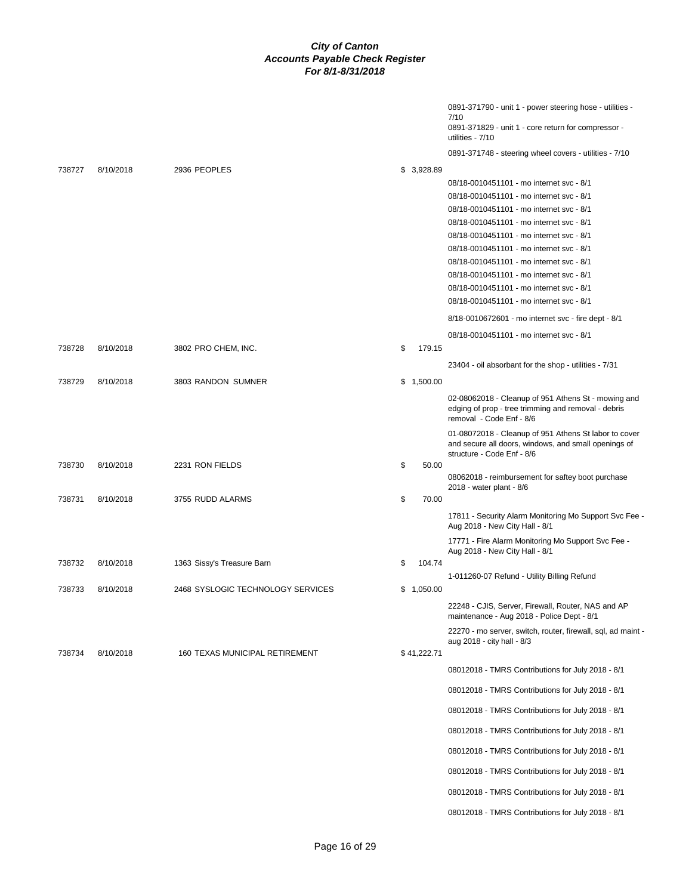|        |           |                                   |              | 0891-371790 - unit 1 - power steering hose - utilities -<br>7/10<br>0891-371829 - unit 1 - core return for compressor -<br>utilities - 7/10 |
|--------|-----------|-----------------------------------|--------------|---------------------------------------------------------------------------------------------------------------------------------------------|
|        |           |                                   |              | 0891-371748 - steering wheel covers - utilities - 7/10                                                                                      |
| 738727 | 8/10/2018 | 2936 PEOPLES                      | \$3,928.89   |                                                                                                                                             |
|        |           |                                   |              | 08/18-0010451101 - mo internet svc - 8/1                                                                                                    |
|        |           |                                   |              | 08/18-0010451101 - mo internet svc - 8/1                                                                                                    |
|        |           |                                   |              | 08/18-0010451101 - mo internet svc - 8/1                                                                                                    |
|        |           |                                   |              | 08/18-0010451101 - mo internet svc - 8/1                                                                                                    |
|        |           |                                   |              | 08/18-0010451101 - mo internet svc - 8/1                                                                                                    |
|        |           |                                   |              | 08/18-0010451101 - mo internet svc - 8/1                                                                                                    |
|        |           |                                   |              | 08/18-0010451101 - mo internet svc - 8/1                                                                                                    |
|        |           |                                   |              | 08/18-0010451101 - mo internet svc - 8/1                                                                                                    |
|        |           |                                   |              | 08/18-0010451101 - mo internet svc - 8/1                                                                                                    |
|        |           |                                   |              | 08/18-0010451101 - mo internet svc - 8/1                                                                                                    |
|        |           |                                   |              | 8/18-0010672601 - mo internet svc - fire dept - 8/1                                                                                         |
|        |           |                                   |              | 08/18-0010451101 - mo internet svc - 8/1                                                                                                    |
| 738728 | 8/10/2018 | 3802 PRO CHEM, INC.               | \$<br>179.15 |                                                                                                                                             |
|        |           |                                   |              | 23404 - oil absorbant for the shop - utilities - 7/31                                                                                       |
| 738729 | 8/10/2018 | 3803 RANDON SUMNER                | \$1,500.00   |                                                                                                                                             |
|        |           |                                   |              | 02-08062018 - Cleanup of 951 Athens St - mowing and<br>edging of prop - tree trimming and removal - debris<br>removal - Code Enf - 8/6      |
| 738730 | 8/10/2018 | 2231 RON FIELDS                   | \$<br>50.00  | 01-08072018 - Cleanup of 951 Athens St labor to cover<br>and secure all doors, windows, and small openings of<br>structure - Code Enf - 8/6 |
|        |           |                                   |              | 08062018 - reimbursement for saftey boot purchase                                                                                           |
| 738731 | 8/10/2018 | 3755 RUDD ALARMS                  | \$<br>70.00  | 2018 - water plant - 8/6                                                                                                                    |
|        |           |                                   |              | 17811 - Security Alarm Monitoring Mo Support Svc Fee -<br>Aug 2018 - New City Hall - 8/1                                                    |
|        |           |                                   |              | 17771 - Fire Alarm Monitoring Mo Support Svc Fee -<br>Aug 2018 - New City Hall - 8/1                                                        |
| 738732 | 8/10/2018 | 1363 Sissy's Treasure Barn        | \$<br>104.74 |                                                                                                                                             |
|        |           |                                   |              | 1-011260-07 Refund - Utility Billing Refund                                                                                                 |
| 738733 | 8/10/2018 | 2468 SYSLOGIC TECHNOLOGY SERVICES | \$1,050.00   |                                                                                                                                             |
|        |           |                                   |              | 22248 - CJIS, Server, Firewall, Router, NAS and AP<br>maintenance - Aug 2018 - Police Dept - 8/1                                            |
|        |           |                                   |              | 22270 - mo server, switch, router, firewall, sql, ad maint -<br>aug 2018 - city hall - 8/3                                                  |
| 738734 | 8/10/2018 | 160 TEXAS MUNICIPAL RETIREMENT    | \$41,222.71  |                                                                                                                                             |
|        |           |                                   |              | 08012018 - TMRS Contributions for July 2018 - 8/1                                                                                           |
|        |           |                                   |              | 08012018 - TMRS Contributions for July 2018 - 8/1                                                                                           |
|        |           |                                   |              | 08012018 - TMRS Contributions for July 2018 - 8/1                                                                                           |
|        |           |                                   |              | 08012018 - TMRS Contributions for July 2018 - 8/1                                                                                           |
|        |           |                                   |              | 08012018 - TMRS Contributions for July 2018 - 8/1                                                                                           |
|        |           |                                   |              | 08012018 - TMRS Contributions for July 2018 - 8/1                                                                                           |
|        |           |                                   |              | 08012018 - TMRS Contributions for July 2018 - 8/1                                                                                           |
|        |           |                                   |              |                                                                                                                                             |
|        |           |                                   |              | 08012018 - TMRS Contributions for July 2018 - 8/1                                                                                           |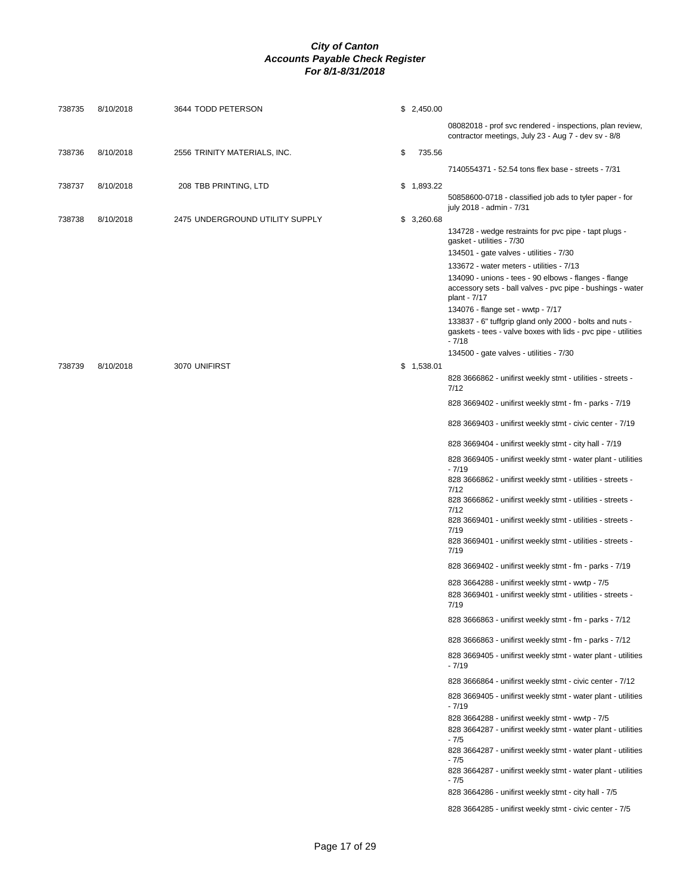| 738735 | 8/10/2018 | 3644 TODD PETERSON              | \$2,450.00   |                                                                                                                                        |
|--------|-----------|---------------------------------|--------------|----------------------------------------------------------------------------------------------------------------------------------------|
|        |           |                                 |              | 08082018 - prof svc rendered - inspections, plan review,<br>contractor meetings, July 23 - Aug 7 - dev sv - 8/8                        |
| 738736 | 8/10/2018 | 2556 TRINITY MATERIALS, INC.    | \$<br>735.56 |                                                                                                                                        |
|        |           |                                 |              | 7140554371 - 52.54 tons flex base - streets - 7/31                                                                                     |
| 738737 | 8/10/2018 | 208 TBB PRINTING, LTD           | \$1,893.22   | 50858600-0718 - classified job ads to tyler paper - for<br>july 2018 - admin - 7/31                                                    |
| 738738 | 8/10/2018 | 2475 UNDERGROUND UTILITY SUPPLY | \$3,260.68   |                                                                                                                                        |
|        |           |                                 |              | 134728 - wedge restraints for pvc pipe - tapt plugs -<br>gasket - utilities - 7/30                                                     |
|        |           |                                 |              | 134501 - gate valves - utilities - 7/30                                                                                                |
|        |           |                                 |              | 133672 - water meters - utilities - 7/13<br>134090 - unions - tees - 90 elbows - flanges - flange                                      |
|        |           |                                 |              | accessory sets - ball valves - pvc pipe - bushings - water<br>plant - 7/17                                                             |
|        |           |                                 |              | 134076 - flange set - wwtp - 7/17                                                                                                      |
|        |           |                                 |              | 133837 - 6" tuffgrip gland only 2000 - bolts and nuts -<br>gaskets - tees - valve boxes with lids - pvc pipe - utilities<br>$-7/18$    |
|        |           |                                 |              | 134500 - gate valves - utilities - 7/30                                                                                                |
| 738739 | 8/10/2018 | 3070 UNIFIRST                   | \$1,538.01   |                                                                                                                                        |
|        |           |                                 |              | 828 3666862 - unifirst weekly stmt - utilities - streets -<br>7/12                                                                     |
|        |           |                                 |              | 828 3669402 - unifirst weekly stmt - fm - parks - 7/19                                                                                 |
|        |           |                                 |              | 828 3669403 - unifirst weekly stmt - civic center - 7/19                                                                               |
|        |           |                                 |              | 828 3669404 - unifirst weekly stmt - city hall - 7/19                                                                                  |
|        |           |                                 |              | 828 3669405 - unifirst weekly stmt - water plant - utilities<br>$-7/19$                                                                |
|        |           |                                 |              | 828 3666862 - unifirst weekly stmt - utilities - streets -<br>7/12                                                                     |
|        |           |                                 |              | 828 3666862 - unifirst weekly stmt - utilities - streets -<br>7/12                                                                     |
|        |           |                                 |              | 828 3669401 - unifirst weekly stmt - utilities - streets -<br>7/19                                                                     |
|        |           |                                 |              | 828 3669401 - unifirst weekly stmt - utilities - streets -<br>7/19                                                                     |
|        |           |                                 |              | 828 3669402 - unifirst weekly stmt - fm - parks - 7/19                                                                                 |
|        |           |                                 |              | 828 3664288 - unifirst weekly stmt - wwtp - 7/5                                                                                        |
|        |           |                                 |              | 828 3669401 - unifirst weekly stmt - utilities - streets -<br>7/19                                                                     |
|        |           |                                 |              | 828 3666863 - unifirst weekly stmt - fm - parks - 7/12                                                                                 |
|        |           |                                 |              | 828 3666863 - unifirst weekly stmt - fm - parks - 7/12                                                                                 |
|        |           |                                 |              | 828 3669405 - unifirst weekly stmt - water plant - utilities<br>$-7/19$                                                                |
|        |           |                                 |              | 828 3666864 - unifirst weekly stmt - civic center - 7/12                                                                               |
|        |           |                                 |              | 828 3669405 - unifirst weekly stmt - water plant - utilities<br>$-7/19$                                                                |
|        |           |                                 |              | 828 3664288 - unifirst weekly stmt - wwtp - 7/5                                                                                        |
|        |           |                                 |              | 828 3664287 - unifirst weekly stmt - water plant - utilities<br>$-7/5$                                                                 |
|        |           |                                 |              | 828 3664287 - unifirst weekly stmt - water plant - utilities<br>$-7/5$<br>828 3664287 - unifirst weekly stmt - water plant - utilities |
|        |           |                                 |              | $-7/5$                                                                                                                                 |
|        |           |                                 |              | 828 3664286 - unifirst weekly stmt - city hall - 7/5                                                                                   |
|        |           |                                 |              | 828 3664285 - unifirst weekly stmt - civic center - 7/5                                                                                |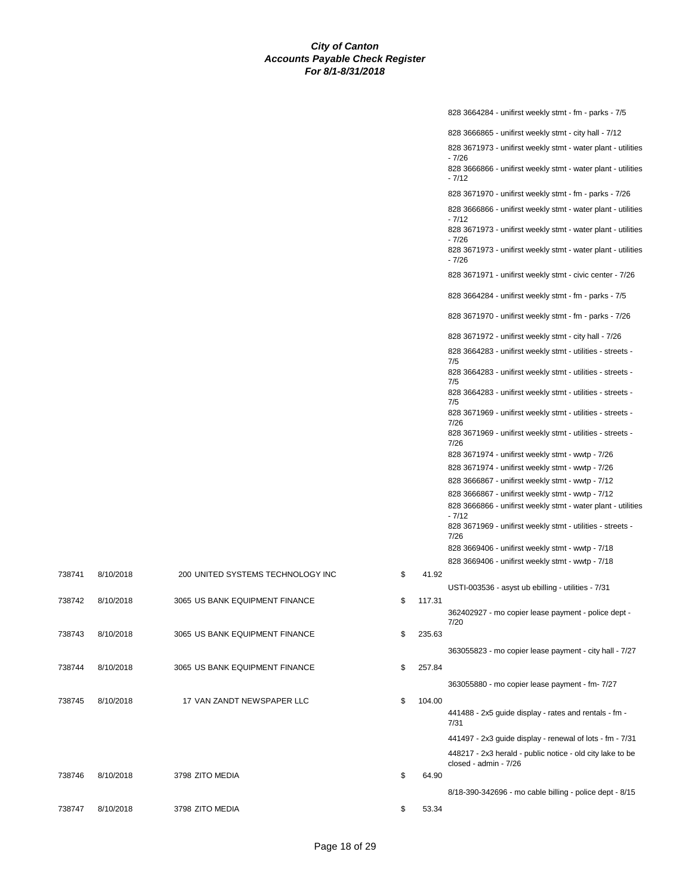|        |           |                                   |              | 828 3664284 - unifirst weekly stmt - fm - parks - 7/5                              |
|--------|-----------|-----------------------------------|--------------|------------------------------------------------------------------------------------|
|        |           |                                   |              | 828 3666865 - unifirst weekly stmt - city hall - 7/12                              |
|        |           |                                   |              | 828 3671973 - unifirst weekly stmt - water plant - utilities                       |
|        |           |                                   |              | $-7/26$<br>828 3666866 - unifirst weekly stmt - water plant - utilities            |
|        |           |                                   |              | $-7/12$                                                                            |
|        |           |                                   |              | 828 3671970 - unifirst weekly stmt - fm - parks - 7/26                             |
|        |           |                                   |              | 828 3666866 - unifirst weekly stmt - water plant - utilities                       |
|        |           |                                   |              | $-7/12$<br>828 3671973 - unifirst weekly stmt - water plant - utilities            |
|        |           |                                   |              | $-7/26$<br>828 3671973 - unifirst weekly stmt - water plant - utilities<br>$-7/26$ |
|        |           |                                   |              | 828 3671971 - unifirst weekly stmt - civic center - 7/26                           |
|        |           |                                   |              | 828 3664284 - unifirst weekly stmt - fm - parks - 7/5                              |
|        |           |                                   |              | 828 3671970 - unifirst weekly stmt - fm - parks - 7/26                             |
|        |           |                                   |              | 828 3671972 - unifirst weekly stmt - city hall - 7/26                              |
|        |           |                                   |              | 828 3664283 - unifirst weekly stmt - utilities - streets -<br>7/5                  |
|        |           |                                   |              | 828 3664283 - unifirst weekly stmt - utilities - streets -<br>7/5                  |
|        |           |                                   |              | 828 3664283 - unifirst weekly stmt - utilities - streets -<br>7/5                  |
|        |           |                                   |              | 828 3671969 - unifirst weekly stmt - utilities - streets -<br>7/26                 |
|        |           |                                   |              | 828 3671969 - unifirst weekly stmt - utilities - streets -<br>7/26                 |
|        |           |                                   |              | 828 3671974 - unifirst weekly stmt - wwtp - 7/26                                   |
|        |           |                                   |              | 828 3671974 - unifirst weekly stmt - wwtp - 7/26                                   |
|        |           |                                   |              | 828 3666867 - unifirst weekly stmt - wwtp - 7/12                                   |
|        |           |                                   |              | 828 3666867 - unifirst weekly stmt - wwtp - 7/12                                   |
|        |           |                                   |              | 828 3666866 - unifirst weekly stmt - water plant - utilities<br>$-7/12$            |
|        |           |                                   |              | 828 3671969 - unifirst weekly stmt - utilities - streets -<br>7/26                 |
|        |           |                                   |              | 828 3669406 - unifirst weekly stmt - wwtp - 7/18                                   |
|        |           |                                   |              | 828 3669406 - unifirst weekly stmt - wwtp - 7/18                                   |
| 738741 | 8/10/2018 | 200 UNITED SYSTEMS TECHNOLOGY INC | \$<br>41.92  |                                                                                    |
|        |           |                                   |              | USTI-003536 - asyst ub ebilling - utilities - 7/31                                 |
| 738742 | 8/10/2018 | 3065 US BANK EQUIPMENT FINANCE    | \$<br>117.31 |                                                                                    |
|        |           |                                   |              | 362402927 - mo copier lease payment - police dept -<br>7/20                        |
| 738743 | 8/10/2018 | 3065 US BANK EQUIPMENT FINANCE    | \$<br>235.63 |                                                                                    |
|        |           |                                   |              | 363055823 - mo copier lease payment - city hall - 7/27                             |
| 738744 | 8/10/2018 | 3065 US BANK EQUIPMENT FINANCE    | \$<br>257.84 |                                                                                    |
|        |           |                                   |              | 363055880 - mo copier lease payment - fm- 7/27                                     |
| 738745 | 8/10/2018 | 17 VAN ZANDT NEWSPAPER LLC        | \$<br>104.00 |                                                                                    |
|        |           |                                   |              | 441488 - 2x5 guide display - rates and rentals - fm -<br>7/31                      |
|        |           |                                   |              | 441497 - 2x3 guide display - renewal of lots - fm - 7/31                           |
|        |           |                                   |              | 448217 - 2x3 herald - public notice - old city lake to be<br>closed - admin - 7/26 |
| 738746 | 8/10/2018 | 3798 ZITO MEDIA                   | \$<br>64.90  |                                                                                    |
|        |           |                                   |              | 8/18-390-342696 - mo cable billing - police dept - 8/15                            |
| 738747 | 8/10/2018 | 3798 ZITO MEDIA                   | \$<br>53.34  |                                                                                    |
|        |           |                                   |              |                                                                                    |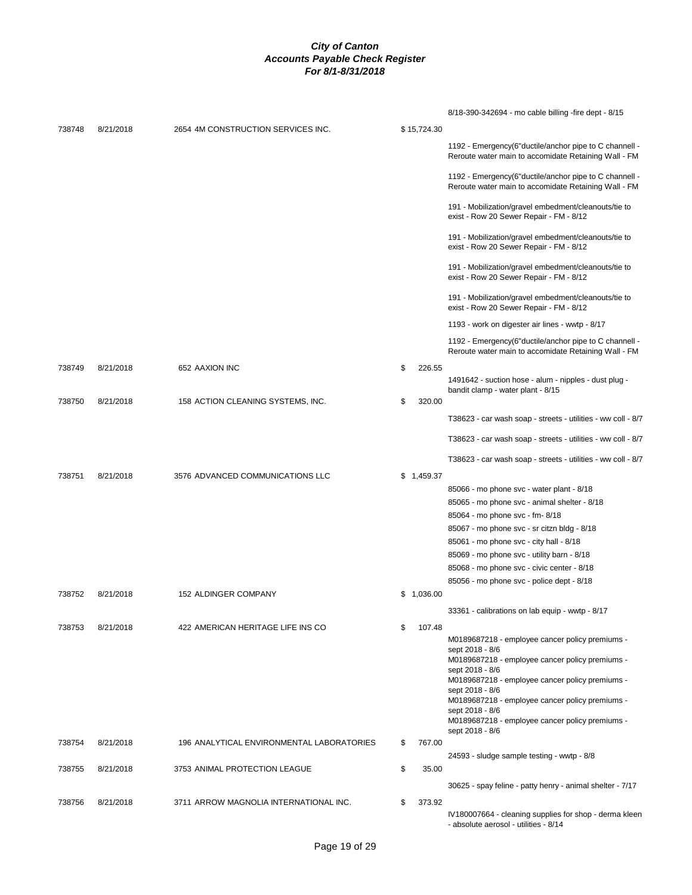|        |           |                                           |    |             | 8/18-390-342694 - mo cable billing -fire dept - 8/15                                                           |
|--------|-----------|-------------------------------------------|----|-------------|----------------------------------------------------------------------------------------------------------------|
| 738748 | 8/21/2018 | 2654 4M CONSTRUCTION SERVICES INC.        |    | \$15,724.30 |                                                                                                                |
|        |           |                                           |    |             | 1192 - Emergency(6"ductile/anchor pipe to C channell -<br>Reroute water main to accomidate Retaining Wall - FM |
|        |           |                                           |    |             | 1192 - Emergency(6"ductile/anchor pipe to C channell -<br>Reroute water main to accomidate Retaining Wall - FM |
|        |           |                                           |    |             | 191 - Mobilization/gravel embedment/cleanouts/tie to<br>exist - Row 20 Sewer Repair - FM - 8/12                |
|        |           |                                           |    |             | 191 - Mobilization/gravel embedment/cleanouts/tie to<br>exist - Row 20 Sewer Repair - FM - 8/12                |
|        |           |                                           |    |             | 191 - Mobilization/gravel embedment/cleanouts/tie to<br>exist - Row 20 Sewer Repair - FM - 8/12                |
|        |           |                                           |    |             | 191 - Mobilization/gravel embedment/cleanouts/tie to<br>exist - Row 20 Sewer Repair - FM - 8/12                |
|        |           |                                           |    |             | 1193 - work on digester air lines - wwtp - 8/17                                                                |
|        |           |                                           |    |             | 1192 - Emergency(6"ductile/anchor pipe to C channell -<br>Reroute water main to accomidate Retaining Wall - FM |
| 738749 | 8/21/2018 | 652 AAXION INC                            | S  | 226.55      | 1491642 - suction hose - alum - nipples - dust plug -                                                          |
| 738750 | 8/21/2018 | 158 ACTION CLEANING SYSTEMS, INC.         | \$ | 320.00      | bandit clamp - water plant - 8/15                                                                              |
|        |           |                                           |    |             | T38623 - car wash soap - streets - utilities - ww coll - 8/7                                                   |
|        |           |                                           |    |             | T38623 - car wash soap - streets - utilities - ww coll - 8/7                                                   |
|        |           |                                           |    |             | T38623 - car wash soap - streets - utilities - ww coll - 8/7                                                   |
| 738751 | 8/21/2018 | 3576 ADVANCED COMMUNICATIONS LLC          |    | \$1,459.37  |                                                                                                                |
|        |           |                                           |    |             | 85066 - mo phone svc - water plant - 8/18                                                                      |
|        |           |                                           |    |             | 85065 - mo phone svc - animal shelter - 8/18                                                                   |
|        |           |                                           |    |             | 85064 - mo phone svc - fm- 8/18                                                                                |
|        |           |                                           |    |             | 85067 - mo phone svc - sr citzn bldg - 8/18                                                                    |
|        |           |                                           |    |             | 85061 - mo phone svc - city hall - 8/18                                                                        |
|        |           |                                           |    |             | 85069 - mo phone svc - utility barn - 8/18                                                                     |
|        |           |                                           |    |             | 85068 - mo phone svc - civic center - 8/18                                                                     |
|        |           |                                           |    |             | 85056 - mo phone svc - police dept - 8/18                                                                      |
| 738752 | 8/21/2018 | 152 ALDINGER COMPANY                      |    | \$1,036.00  |                                                                                                                |
|        |           |                                           |    |             | 33361 - calibrations on lab equip - wwtp - 8/17                                                                |
| 738753 | 8/21/2018 | 422 AMERICAN HERITAGE LIFE INS CO         | S  | 107.48      |                                                                                                                |
|        |           |                                           |    |             | M0189687218 - employee cancer policy premiums -                                                                |
|        |           |                                           |    |             | sept 2018 - 8/6                                                                                                |
|        |           |                                           |    |             | M0189687218 - employee cancer policy premiums -<br>sept 2018 - 8/6                                             |
|        |           |                                           |    |             | M0189687218 - employee cancer policy premiums -                                                                |
|        |           |                                           |    |             | sept 2018 - 8/6<br>M0189687218 - employee cancer policy premiums -                                             |
|        |           |                                           |    |             | sept 2018 - 8/6                                                                                                |
|        |           |                                           |    |             | M0189687218 - employee cancer policy premiums -<br>sept 2018 - 8/6                                             |
| 738754 | 8/21/2018 | 196 ANALYTICAL ENVIRONMENTAL LABORATORIES | \$ | 767.00      |                                                                                                                |
| 738755 | 8/21/2018 | 3753 ANIMAL PROTECTION LEAGUE             | \$ | 35.00       | 24593 - sludge sample testing - wwtp - 8/8                                                                     |
|        |           |                                           |    |             |                                                                                                                |
|        |           |                                           |    |             | 30625 - spay feline - patty henry - animal shelter - 7/17                                                      |
| 738756 | 8/21/2018 | 3711 ARROW MAGNOLIA INTERNATIONAL INC.    | \$ | 373.92      |                                                                                                                |
|        |           |                                           |    |             | IV180007664 - cleaning supplies for shop - derma kleen<br>- absolute aerosol - utilities - 8/14                |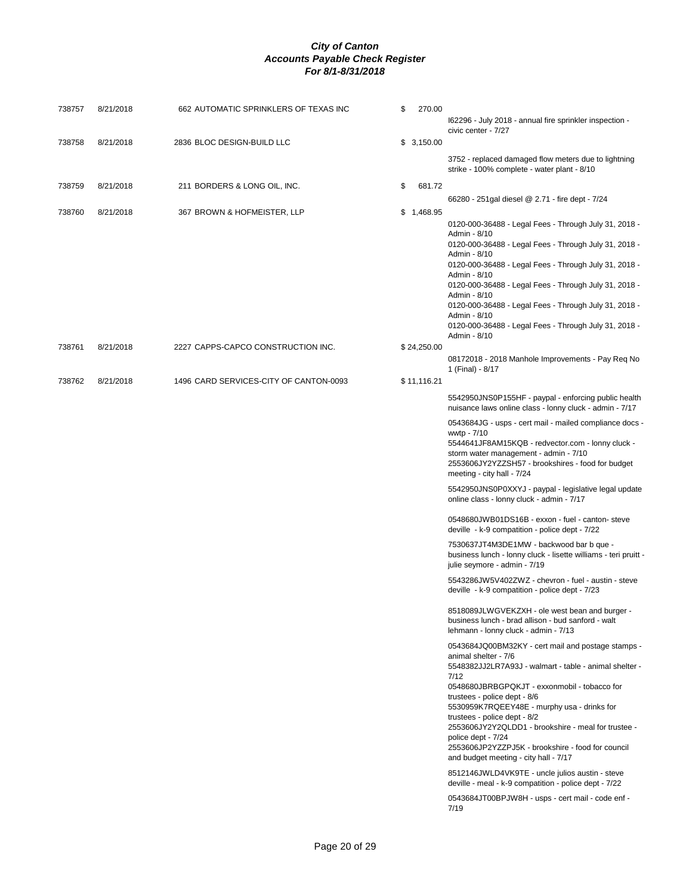| 738757 | 8/21/2018 | 662 AUTOMATIC SPRINKLERS OF TEXAS INC  | \$<br>270.00 | 162296 - July 2018 - annual fire sprinkler inspection -                                                                                                                                                                                                                                                                                                                                                                                                                                                                                   |
|--------|-----------|----------------------------------------|--------------|-------------------------------------------------------------------------------------------------------------------------------------------------------------------------------------------------------------------------------------------------------------------------------------------------------------------------------------------------------------------------------------------------------------------------------------------------------------------------------------------------------------------------------------------|
| 738758 | 8/21/2018 | 2836 BLOC DESIGN-BUILD LLC             | \$3,150.00   | civic center - 7/27                                                                                                                                                                                                                                                                                                                                                                                                                                                                                                                       |
|        |           |                                        |              | 3752 - replaced damaged flow meters due to lightning<br>strike - 100% complete - water plant - 8/10                                                                                                                                                                                                                                                                                                                                                                                                                                       |
| 738759 | 8/21/2018 | 211 BORDERS & LONG OIL, INC.           | 681.72<br>\$ |                                                                                                                                                                                                                                                                                                                                                                                                                                                                                                                                           |
| 738760 | 8/21/2018 | 367 BROWN & HOFMEISTER, LLP            | \$1,468.95   | 66280 - 251 gal diesel @ 2.71 - fire dept - 7/24                                                                                                                                                                                                                                                                                                                                                                                                                                                                                          |
|        |           |                                        |              | 0120-000-36488 - Legal Fees - Through July 31, 2018 -<br>Admin - 8/10<br>0120-000-36488 - Legal Fees - Through July 31, 2018 -<br>Admin - 8/10<br>0120-000-36488 - Legal Fees - Through July 31, 2018 -<br>Admin - 8/10<br>0120-000-36488 - Legal Fees - Through July 31, 2018 -<br>Admin - 8/10<br>0120-000-36488 - Legal Fees - Through July 31, 2018 -<br>Admin - 8/10<br>0120-000-36488 - Legal Fees - Through July 31, 2018 -                                                                                                        |
| 738761 | 8/21/2018 | 2227 CAPPS-CAPCO CONSTRUCTION INC.     | \$24,250.00  | Admin - 8/10                                                                                                                                                                                                                                                                                                                                                                                                                                                                                                                              |
|        |           |                                        |              | 08172018 - 2018 Manhole Improvements - Pay Req No<br>1 (Final) - 8/17                                                                                                                                                                                                                                                                                                                                                                                                                                                                     |
| 738762 | 8/21/2018 | 1496 CARD SERVICES-CITY OF CANTON-0093 | \$11,116.21  |                                                                                                                                                                                                                                                                                                                                                                                                                                                                                                                                           |
|        |           |                                        |              | 5542950JNS0P155HF - paypal - enforcing public health<br>nuisance laws online class - lonny cluck - admin - 7/17                                                                                                                                                                                                                                                                                                                                                                                                                           |
|        |           |                                        |              | 0543684JG - usps - cert mail - mailed compliance docs -<br>wwtp - 7/10<br>5544641JF8AM15KQB - redvector.com - lonny cluck -<br>storm water management - admin - 7/10<br>2553606JY2YZZSH57 - brookshires - food for budget<br>meeting - city hall - 7/24                                                                                                                                                                                                                                                                                   |
|        |           |                                        |              | 5542950JNS0P0XXYJ - paypal - legislative legal update<br>online class - lonny cluck - admin - 7/17                                                                                                                                                                                                                                                                                                                                                                                                                                        |
|        |           |                                        |              | 0548680JWB01DS16B - exxon - fuel - canton-steve<br>deville - k-9 compatition - police dept - 7/22                                                                                                                                                                                                                                                                                                                                                                                                                                         |
|        |           |                                        |              | 7530637JT4M3DE1MW - backwood bar b que -<br>business lunch - lonny cluck - lisette williams - teri pruitt -<br>julie seymore - admin - 7/19                                                                                                                                                                                                                                                                                                                                                                                               |
|        |           |                                        |              | 5543286JW5V402ZWZ - chevron - fuel - austin - steve<br>deville - k-9 compatition - police dept - 7/23                                                                                                                                                                                                                                                                                                                                                                                                                                     |
|        |           |                                        |              | 8518089JLWGVEKZXH - ole west bean and burger -<br>business lunch - brad allison - bud sanford - walt<br>lehmann - lonny cluck - admin - 7/13                                                                                                                                                                                                                                                                                                                                                                                              |
|        |           |                                        |              | 0543684JQ00BM32KY - cert mail and postage stamps -<br>animal shelter - 7/6<br>5548382JJ2LR7A93J - walmart - table - animal shelter -<br>7/12<br>0548680JBRBGPQKJT - exxonmobil - tobacco for<br>trustees - police dept - 8/6<br>5530959K7RQEEY48E - murphy usa - drinks for<br>trustees - police dept - 8/2<br>2553606JY2Y2QLDD1 - brookshire - meal for trustee -<br>police dept - 7/24<br>2553606JP2YZZPJ5K - brookshire - food for council<br>and budget meeting - city hall - 7/17<br>8512146JWLD4VK9TE - uncle julios austin - steve |
|        |           |                                        |              | deville - meal - k-9 compatition - police dept - 7/22<br>0543684JT00BPJW8H - usps - cert mail - code enf -                                                                                                                                                                                                                                                                                                                                                                                                                                |
|        |           |                                        |              | 7/19                                                                                                                                                                                                                                                                                                                                                                                                                                                                                                                                      |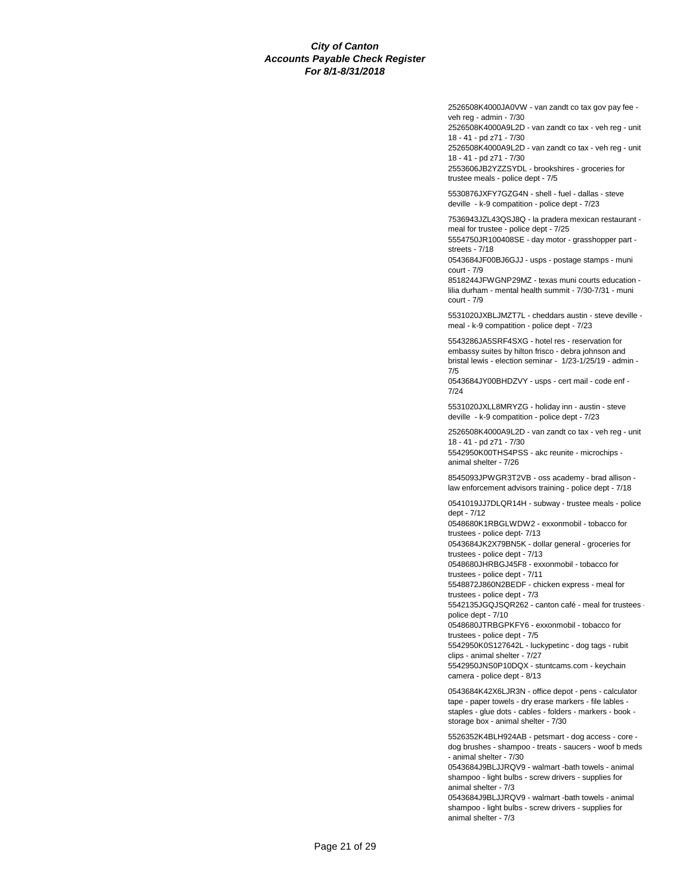2526508K4000JA0VW - van zandt co tax gov pay fee veh reg - admin - 7/30

2526508K4000A9L2D - van zandt co tax - veh reg - unit 18 - 41 - pd z71 - 7/30

2526508K4000A9L2D - van zandt co tax - veh reg - unit 18 - 41 - pd z71 - 7/30 2553606JB2YZZSYDL - brookshires - groceries for

trustee meals - police dept - 7/5 5530876JXFY7GZG4N - shell - fuel - dallas - steve

deville - k-9 compatition - police dept - 7/23

7536943JZL43QSJ8Q - la pradera mexican restaurant meal for trustee - police dept - 7/25 5554750JR100408SE - day motor - grasshopper part -

streets - 7/18

0543684JF00BJ6GJJ - usps - postage stamps - muni court - 7/9

8518244JFWGNP29MZ - texas muni courts education lilia durham - mental health summit - 7/30-7/31 - muni court - 7/9

5531020JXBLJMZT7L - cheddars austin - steve deville meal - k-9 compatition - police dept - 7/23

5543286JA5SRF4SXG - hotel res - reservation for embassy suites by hilton frisco - debra johnson and bristal lewis - election seminar - 1/23-1/25/19 - admin - 7/5

0543684JY00BHDZVY - usps - cert mail - code enf - 7/24

5531020JXLL8MRYZG - holiday inn - austin - steve deville - k-9 compatition - police dept - 7/23

2526508K4000A9L2D - van zandt co tax - veh reg - unit 18 - 41 - pd z71 - 7/30 5542950K00THS4PSS - akc reunite - microchips -

animal shelter - 7/26

8545093JPWGR3T2VB - oss academy - brad allison law enforcement advisors training - police dept - 7/18

0541019JJ7DLQR14H - subway - trustee meals - police dept - 7/12

0548680K1RBGLWDW2 - exxonmobil - tobacco for trustees - police dept- 7/13

0543684JK2X79BN5K - dollar general - groceries for trustees - police dept - 7/13

0548680JHRBGJ45F8 - exxonmobil - tobacco for

trustees - police dept - 7/11 5548872J860N2BEDF - chicken express - meal for

trustees - police dept - 7/3 5542135JGQJSQR262 - canton café - meal for trustees -

police dept - 7/10 0548680JTRBGPKFY6 - exxonmobil - tobacco for

trustees - police dept - 7/5 5542950K0S127642L - luckypetinc - dog tags - rubit

clips - animal shelter - 7/27

5542950JNS0P10DQX - stuntcams.com - keychain camera - police dept - 8/13

0543684K42X6LJR3N - office depot - pens - calculator tape - paper towels - dry erase markers - file lables staples - glue dots - cables - folders - markers - book storage box - animal shelter - 7/30

5526352K4BLH924AB - petsmart - dog access - core dog brushes - shampoo - treats - saucers - woof b meds - animal shelter - 7/30

0543684J9BLJJRQV9 - walmart -bath towels - animal shampoo - light bulbs - screw drivers - supplies for animal shelter - 7/3

0543684J9BLJJRQV9 - walmart -bath towels - animal shampoo - light bulbs - screw drivers - supplies for animal shelter - 7/3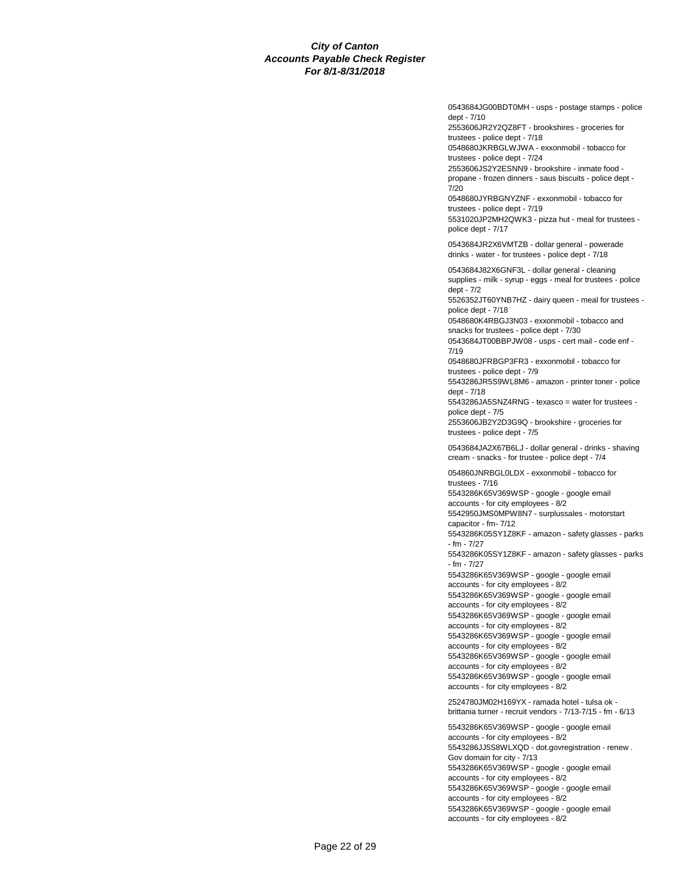0543684JG00BDT0MH - usps - postage stamps - police dept - 7/10

2553606JR2Y2QZ8FT - brookshires - groceries for trustees - police dept - 7/18

0548680JKRBGLWJWA - exxonmobil - tobacco for trustees - police dept - 7/24

2553606JS2Y2ESNN9 - brookshire - inmate food propane - frozen dinners - saus biscuits - police dept - 7/20

0548680JYRBGNYZNF - exxonmobil - tobacco for trustees - police dept - 7/19

5531020JP2MH2QWK3 - pizza hut - meal for trustees police dept - 7/17

0543684JR2X6VMTZB - dollar general - powerade drinks - water - for trustees - police dept - 7/18

0543684J82X6GNF3L - dollar general - cleaning supplies - milk - syrup - eggs - meal for trustees - police dept - 7/2

5526352JT60YNB7HZ - dairy queen - meal for trustees police dept - 7/18

0548680K4RBGJ3N03 - exxonmobil - tobacco and snacks for trustees - police dept - 7/30

0543684JT00BBPJW08 - usps - cert mail - code enf - 7/19

0548680JFRBGP3FR3 - exxonmobil - tobacco for trustees - police dept - 7/9

5543286JR5S9WL8M6 - amazon - printer toner - police dept - 7/18

5543286JA5SNZ4RNG - texasco = water for trustees police dept - 7/5

2553606JB2Y2D3G9Q - brookshire - groceries for trustees - police dept - 7/5

0543684JA2X67B6LJ - dollar general - drinks - shaving cream - snacks - for trustee - police dept - 7/4

054860JNRBGL0LDX - exxonmobil - tobacco for trustees - 7/16

5543286K65V369WSP - google - google email accounts - for city employees - 8/2

5542950JMS0MPW8N7 - surplussales - motorstart capacitor - fm- 7/12

5543286K05SY1Z8KF - amazon - safety glasses - parks - fm - 7/27

5543286K05SY1Z8KF - amazon - safety glasses - parks - fm - 7/27

5543286K65V369WSP - google - google email accounts - for city employees - 8/2

5543286K65V369WSP - google - google email

accounts - for city employees - 8/2 5543286K65V369WSP - google - google email

accounts - for city employees - 8/2

5543286K65V369WSP - google - google email

accounts - for city employees - 8/2

5543286K65V369WSP - google - google email

accounts - for city employees - 8/2 5543286K65V369WSP - google - google email accounts - for city employees - 8/2

2524780JM02H169YX - ramada hotel - tulsa ok brittania turner - recruit vendors - 7/13-7/15 - fm - 6/13

5543286K65V369WSP - google - google email accounts - for city employees - 8/2 5543286JJ5S8WLXQD - dot.govregistration - renew . Gov domain for city - 7/13 5543286K65V369WSP - google - google email accounts - for city employees - 8/2 5543286K65V369WSP - google - google email accounts - for city employees - 8/2 5543286K65V369WSP - google - google email accounts - for city employees - 8/2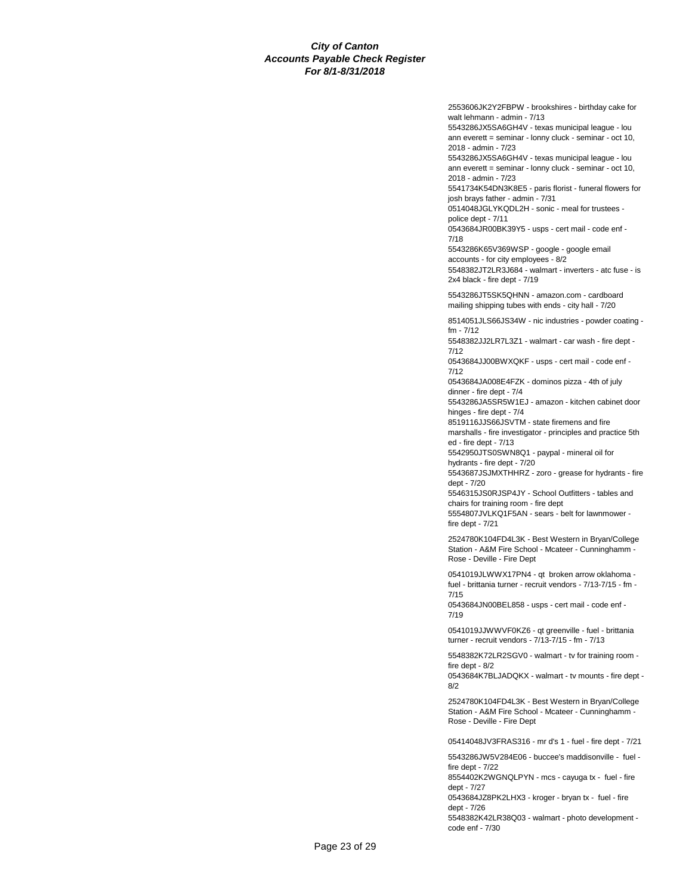2553606JK2Y2FBPW - brookshires - birthday cake for walt lehmann - admin - 7/13

5543286JX5SA6GH4V - texas municipal league - lou ann everett = seminar - lonny cluck - seminar - oct 10, 2018 - admin - 7/23

5543286JX5SA6GH4V - texas municipal league - lou ann everett = seminar - lonny cluck - seminar - oct 10, 2018 - admin - 7/23

5541734K54DN3K8E5 - paris florist - funeral flowers for josh brays father - admin - 7/31

0514048JGLYKQDL2H - sonic - meal for trustees police dept - 7/11

0543684JR00BK39Y5 - usps - cert mail - code enf - 7/18

5543286K65V369WSP - google - google email accounts - for city employees - 8/2 5548382JT2LR3J684 - walmart - inverters - atc fuse - is 2x4 black - fire dept - 7/19

5543286JT5SK5QHNN - amazon.com - cardboard mailing shipping tubes with ends - city hall - 7/20

8514051JLS66JS34W - nic industries - powder coating fm - 7/12

5548382JJ2LR7L3Z1 - walmart - car wash - fire dept - 7/12

0543684JJ00BWXQKF - usps - cert mail - code enf - 7/12

0543684JA008E4FZK - dominos pizza - 4th of july dinner - fire dept - 7/4

5543286JA5SR5W1EJ - amazon - kitchen cabinet door hinges - fire dept - 7/4

8519116JJS66JSVTM - state firemens and fire marshalls - fire investigator - principles and practice 5th ed - fire dept - 7/13

5542950JTS0SWN8Q1 - paypal - mineral oil for

hydrants - fire dept - 7/20 5543687JSJMXTHHRZ - zoro - grease for hydrants - fire dept - 7/20

5546315JS0RJSP4JY - School Outfitters - tables and chairs for training room - fire dept

5554807JVLKQ1F5AN - sears - belt for lawnmower fire dept - 7/21

2524780K104FD4L3K - Best Western in Bryan/College Station - A&M Fire School - Mcateer - Cunninghamm - Rose - Deville - Fire Dept

0541019JLWWX17PN4 - qt broken arrow oklahoma fuel - brittania turner - recruit vendors - 7/13-7/15 - fm - 7/15

0543684JN00BEL858 - usps - cert mail - code enf - 7/19

0541019JJWWVF0KZ6 - qt greenville - fuel - brittania turner - recruit vendors - 7/13-7/15 - fm - 7/13

5548382K72LR2SGV0 - walmart - tv for training room fire dept - 8/2

0543684K7BLJADQKX - walmart - tv mounts - fire dept - 8/2

2524780K104FD4L3K - Best Western in Bryan/College Station - A&M Fire School - Mcateer - Cunninghamm - Rose - Deville - Fire Dept

05414048JV3FRAS316 - mr d's 1 - fuel - fire dept - 7/21

5543286JW5V284E06 - buccee's maddisonville - fuel fire dept - 7/22

8554402K2WGNQLPYN - mcs - cayuga tx - fuel - fire dept - 7/27

0543684JZ8PK2LHX3 - kroger - bryan tx - fuel - fire dept - 7/26

5548382K42LR38Q03 - walmart - photo development code enf - 7/30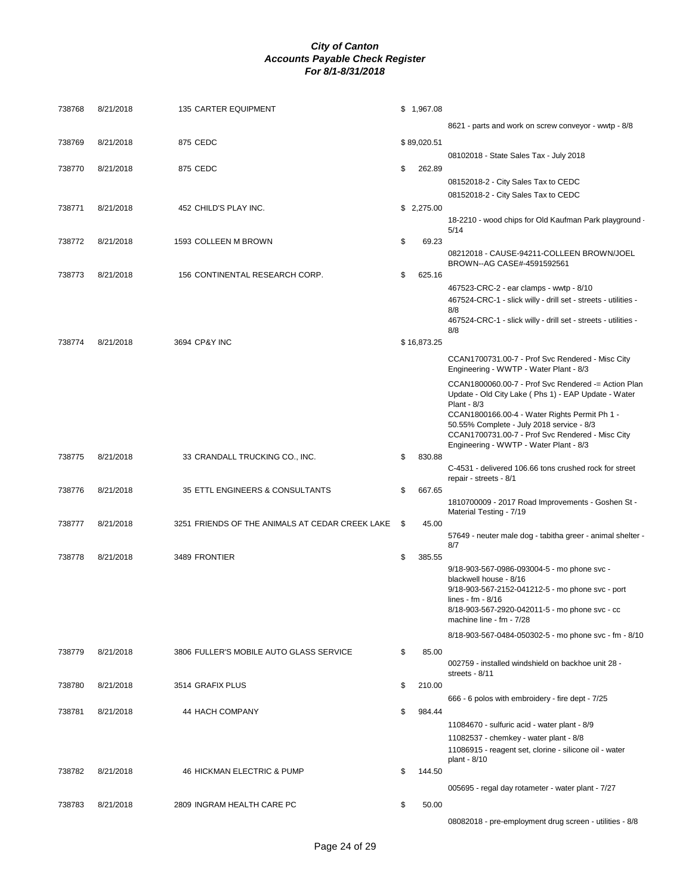| 738768 | 8/21/2018 | 135 CARTER EQUIPMENT                            | \$1,967.08   |                                                                                                            |
|--------|-----------|-------------------------------------------------|--------------|------------------------------------------------------------------------------------------------------------|
|        |           |                                                 |              | 8621 - parts and work on screw conveyor - wwtp - 8/8                                                       |
| 738769 | 8/21/2018 | 875 CEDC                                        | \$89,020.51  |                                                                                                            |
|        |           |                                                 |              | 08102018 - State Sales Tax - July 2018                                                                     |
| 738770 | 8/21/2018 | 875 CEDC                                        | \$<br>262.89 |                                                                                                            |
|        |           |                                                 |              | 08152018-2 - City Sales Tax to CEDC                                                                        |
|        |           |                                                 |              | 08152018-2 - City Sales Tax to CEDC                                                                        |
| 738771 | 8/21/2018 | 452 CHILD'S PLAY INC.                           | \$2,275.00   | 18-2210 - wood chips for Old Kaufman Park playground                                                       |
|        |           |                                                 |              | 5/14                                                                                                       |
| 738772 | 8/21/2018 | 1593 COLLEEN M BROWN                            | \$<br>69.23  |                                                                                                            |
|        |           |                                                 |              | 08212018 - CAUSE-94211-COLLEEN BROWN/JOEL<br>BROWN--AG CASE#-4591592561                                    |
| 738773 | 8/21/2018 | 156 CONTINENTAL RESEARCH CORP.                  | \$<br>625.16 |                                                                                                            |
|        |           |                                                 |              | 467523-CRC-2 - ear clamps - wwtp - 8/10                                                                    |
|        |           |                                                 |              | 467524-CRC-1 - slick willy - drill set - streets - utilities -                                             |
|        |           |                                                 |              | 8/8<br>467524-CRC-1 - slick willy - drill set - streets - utilities -                                      |
|        |           |                                                 |              | 8/8                                                                                                        |
| 738774 | 8/21/2018 | 3694 CP&Y INC                                   | \$16,873.25  |                                                                                                            |
|        |           |                                                 |              | CCAN1700731.00-7 - Prof Svc Rendered - Misc City<br>Engineering - WWTP - Water Plant - 8/3                 |
|        |           |                                                 |              | CCAN1800060.00-7 - Prof Svc Rendered -= Action Plan<br>Update - Old City Lake (Phs 1) - EAP Update - Water |
|        |           |                                                 |              | Plant - 8/3<br>CCAN1800166.00-4 - Water Rights Permit Ph 1 -                                               |
|        |           |                                                 |              | 50.55% Complete - July 2018 service - 8/3                                                                  |
|        |           |                                                 |              | CCAN1700731.00-7 - Prof Svc Rendered - Misc City<br>Engineering - WWTP - Water Plant - 8/3                 |
| 738775 | 8/21/2018 | 33 CRANDALL TRUCKING CO., INC.                  | \$<br>830.88 |                                                                                                            |
|        |           |                                                 |              | C-4531 - delivered 106.66 tons crushed rock for street                                                     |
| 738776 | 8/21/2018 | 35 ETTL ENGINEERS & CONSULTANTS                 | \$<br>667.65 | repair - streets - 8/1                                                                                     |
|        |           |                                                 |              | 1810700009 - 2017 Road Improvements - Goshen St -                                                          |
|        |           |                                                 |              | Material Testing - 7/19                                                                                    |
| 738777 | 8/21/2018 | 3251 FRIENDS OF THE ANIMALS AT CEDAR CREEK LAKE | \$<br>45.00  | 57649 - neuter male dog - tabitha greer - animal shelter -                                                 |
|        |           |                                                 |              | 8/7                                                                                                        |
| 738778 | 8/21/2018 | 3489 FRONTIER                                   | \$<br>385.55 |                                                                                                            |
|        |           |                                                 |              | 9/18-903-567-0986-093004-5 - mo phone svc -<br>blackwell house - 8/16                                      |
|        |           |                                                 |              | 9/18-903-567-2152-041212-5 - mo phone svc - port                                                           |
|        |           |                                                 |              | lines - fm - $8/16$<br>8/18-903-567-2920-042011-5 - mo phone svc - cc                                      |
|        |           |                                                 |              | machine line - fm - 7/28                                                                                   |
|        |           |                                                 |              | 8/18-903-567-0484-050302-5 - mo phone svc - fm - 8/10                                                      |
| 738779 | 8/21/2018 | 3806 FULLER'S MOBILE AUTO GLASS SERVICE         | \$<br>85.00  |                                                                                                            |
|        |           |                                                 |              | 002759 - installed windshield on backhoe unit 28 -                                                         |
|        |           |                                                 |              | streets - 8/11                                                                                             |
| 738780 | 8/21/2018 | 3514 GRAFIX PLUS                                | \$<br>210.00 | 666 - 6 polos with embroidery - fire dept - 7/25                                                           |
| 738781 | 8/21/2018 | 44 HACH COMPANY                                 | \$<br>984.44 |                                                                                                            |
|        |           |                                                 |              | 11084670 - sulfuric acid - water plant - 8/9                                                               |
|        |           |                                                 |              | 11082537 - chemkey - water plant - 8/8                                                                     |
|        |           |                                                 |              | 11086915 - reagent set, clorine - silicone oil - water<br>plant - 8/10                                     |
| 738782 | 8/21/2018 | 46 HICKMAN ELECTRIC & PUMP                      | \$<br>144.50 |                                                                                                            |
|        |           |                                                 |              | 005695 - regal day rotameter - water plant - 7/27                                                          |
| 738783 | 8/21/2018 | 2809 INGRAM HEALTH CARE PC                      | \$<br>50.00  |                                                                                                            |
|        |           |                                                 |              | 08082018 - pre-employment drug screen - utilities - 8/8                                                    |
|        |           |                                                 |              |                                                                                                            |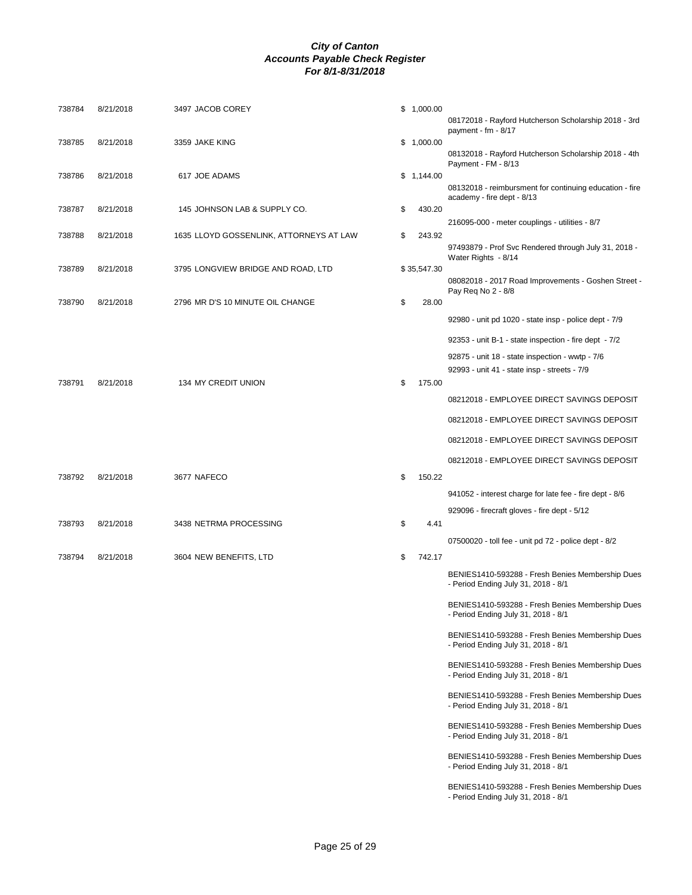| 738784 | 8/21/2018 | 3497 JACOB COREY                        | \$1,000.00   |                                                                                         |
|--------|-----------|-----------------------------------------|--------------|-----------------------------------------------------------------------------------------|
|        |           |                                         |              | 08172018 - Rayford Hutcherson Scholarship 2018 - 3rd<br>payment - $fm - 8/17$           |
| 738785 | 8/21/2018 | 3359 JAKE KING                          | \$1,000.00   | 08132018 - Rayford Hutcherson Scholarship 2018 - 4th                                    |
|        | 8/21/2018 |                                         |              | Payment - FM - 8/13                                                                     |
| 738786 |           | 617 JOE ADAMS                           | \$1,144.00   | 08132018 - reimbursment for continuing education - fire<br>academy - fire dept - 8/13   |
| 738787 | 8/21/2018 | 145 JOHNSON LAB & SUPPLY CO.            | \$<br>430.20 |                                                                                         |
| 738788 | 8/21/2018 | 1635 LLOYD GOSSENLINK, ATTORNEYS AT LAW | \$<br>243.92 | 216095-000 - meter couplings - utilities - 8/7                                          |
|        |           |                                         |              | 97493879 - Prof Svc Rendered through July 31, 2018 -<br>Water Rights - 8/14             |
| 738789 | 8/21/2018 | 3795 LONGVIEW BRIDGE AND ROAD, LTD      | \$35,547.30  | 08082018 - 2017 Road Improvements - Goshen Street -                                     |
| 738790 | 8/21/2018 | 2796 MR D'S 10 MINUTE OIL CHANGE        | \$<br>28.00  | Pay Req No 2 - 8/8                                                                      |
|        |           |                                         |              | 92980 - unit pd 1020 - state insp - police dept - 7/9                                   |
|        |           |                                         |              | 92353 - unit B-1 - state inspection - fire dept - 7/2                                   |
|        |           |                                         |              | 92875 - unit 18 - state inspection - wwtp - 7/6                                         |
|        |           |                                         |              | 92993 - unit 41 - state insp - streets - 7/9                                            |
| 738791 | 8/21/2018 | 134 MY CREDIT UNION                     | \$<br>175.00 | 08212018 - EMPLOYEE DIRECT SAVINGS DEPOSIT                                              |
|        |           |                                         |              | 08212018 - EMPLOYEE DIRECT SAVINGS DEPOSIT                                              |
|        |           |                                         |              | 08212018 - EMPLOYEE DIRECT SAVINGS DEPOSIT                                              |
|        |           |                                         |              | 08212018 - EMPLOYEE DIRECT SAVINGS DEPOSIT                                              |
| 738792 | 8/21/2018 | 3677 NAFECO                             | \$<br>150.22 |                                                                                         |
|        |           |                                         |              | 941052 - interest charge for late fee - fire dept - 8/6                                 |
|        |           |                                         |              | 929096 - firecraft gloves - fire dept - 5/12                                            |
| 738793 | 8/21/2018 | 3438 NETRMA PROCESSING                  | \$<br>4.41   |                                                                                         |
|        |           |                                         |              | 07500020 - toll fee - unit pd 72 - police dept - 8/2                                    |
| 738794 | 8/21/2018 | 3604 NEW BENEFITS, LTD                  | \$<br>742.17 |                                                                                         |
|        |           |                                         |              | BENIES1410-593288 - Fresh Benies Membership Dues<br>- Period Ending July 31, 2018 - 8/1 |
|        |           |                                         |              | BENIES1410-593288 - Fresh Benies Membership Dues<br>- Period Ending July 31, 2018 - 8/1 |
|        |           |                                         |              | BENIES1410-593288 - Fresh Benies Membership Dues<br>- Period Ending July 31, 2018 - 8/1 |
|        |           |                                         |              | BENIES1410-593288 - Fresh Benies Membership Dues<br>- Period Ending July 31, 2018 - 8/1 |
|        |           |                                         |              | BENIES1410-593288 - Fresh Benies Membership Dues<br>- Period Ending July 31, 2018 - 8/1 |
|        |           |                                         |              | BENIES1410-593288 - Fresh Benies Membership Dues<br>- Period Ending July 31, 2018 - 8/1 |
|        |           |                                         |              | BENIES1410-593288 - Fresh Benies Membership Dues<br>- Period Ending July 31, 2018 - 8/1 |
|        |           |                                         |              | BENIES1410-593288 - Fresh Benies Membership Dues<br>- Period Ending July 31, 2018 - 8/1 |
|        |           |                                         |              |                                                                                         |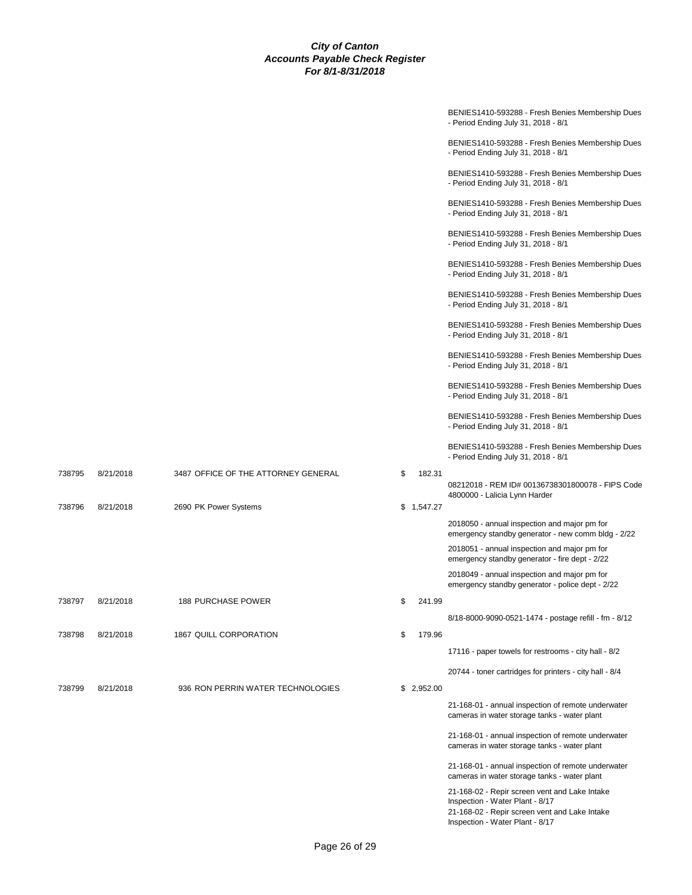|        |           |                                     |    |            | BENIES1410-593288 - Fresh Benies Membership Dues<br>- Period Ending July 31, 2018 - 8/1                                                                              |
|--------|-----------|-------------------------------------|----|------------|----------------------------------------------------------------------------------------------------------------------------------------------------------------------|
|        |           |                                     |    |            | BENIES1410-593288 - Fresh Benies Membership Dues<br>- Period Ending July 31, 2018 - 8/1                                                                              |
|        |           |                                     |    |            | BENIES1410-593288 - Fresh Benies Membership Dues<br>- Period Ending July 31, 2018 - 8/1                                                                              |
|        |           |                                     |    |            | BENIES1410-593288 - Fresh Benies Membership Dues<br>- Period Ending July 31, 2018 - 8/1                                                                              |
|        |           |                                     |    |            | BENIES1410-593288 - Fresh Benies Membership Dues<br>- Period Ending July 31, 2018 - 8/1                                                                              |
|        |           |                                     |    |            | BENIES1410-593288 - Fresh Benies Membership Dues<br>- Period Ending July 31, 2018 - 8/1                                                                              |
|        |           |                                     |    |            | BENIES1410-593288 - Fresh Benies Membership Dues<br>- Period Ending July 31, 2018 - 8/1                                                                              |
|        |           |                                     |    |            | BENIES1410-593288 - Fresh Benies Membership Dues<br>- Period Ending July 31, 2018 - 8/1                                                                              |
|        |           |                                     |    |            | BENIES1410-593288 - Fresh Benies Membership Dues<br>- Period Ending July 31, 2018 - 8/1                                                                              |
|        |           |                                     |    |            | BENIES1410-593288 - Fresh Benies Membership Dues<br>- Period Ending July 31, 2018 - 8/1                                                                              |
|        |           |                                     |    |            | BENIES1410-593288 - Fresh Benies Membership Dues<br>- Period Ending July 31, 2018 - 8/1                                                                              |
|        |           |                                     |    |            | BENIES1410-593288 - Fresh Benies Membership Dues<br>- Period Ending July 31, 2018 - 8/1                                                                              |
| 738795 | 8/21/2018 | 3487 OFFICE OF THE ATTORNEY GENERAL | \$ | 182.31     | 08212018 - REM ID# 00136738301800078 - FIPS Code<br>4800000 - Lalicia Lynn Harder                                                                                    |
| 738796 | 8/21/2018 | 2690 PK Power Systems               |    | \$1,547.27 |                                                                                                                                                                      |
|        |           |                                     |    |            | 2018050 - annual inspection and major pm for<br>emergency standby generator - new comm bldg - 2/22                                                                   |
|        |           |                                     |    |            | 2018051 - annual inspection and major pm for<br>emergency standby generator - fire dept - 2/22                                                                       |
|        |           |                                     |    |            | 2018049 - annual inspection and major pm for<br>emergency standby generator - police dept - 2/22                                                                     |
| 738797 | 8/21/2018 | <b>188 PURCHASE POWER</b>           | \$ | 241.99     |                                                                                                                                                                      |
|        |           |                                     |    |            | 8/18-8000-9090-0521-1474 - postage refill - fm - 8/12                                                                                                                |
| 738798 | 8/21/2018 | 1867 QUILL CORPORATION              | \$ | 179.96     | 17116 - paper towels for restrooms - city hall - 8/2                                                                                                                 |
|        |           |                                     |    |            | 20744 - toner cartridges for printers - city hall - 8/4                                                                                                              |
| 738799 | 8/21/2018 | 936 RON PERRIN WATER TECHNOLOGIES   |    | \$2,952.00 |                                                                                                                                                                      |
|        |           |                                     |    |            | 21-168-01 - annual inspection of remote underwater<br>cameras in water storage tanks - water plant                                                                   |
|        |           |                                     |    |            | 21-168-01 - annual inspection of remote underwater<br>cameras in water storage tanks - water plant                                                                   |
|        |           |                                     |    |            | 21-168-01 - annual inspection of remote underwater<br>cameras in water storage tanks - water plant                                                                   |
|        |           |                                     |    |            | 21-168-02 - Repir screen vent and Lake Intake<br>Inspection - Water Plant - 8/17<br>21-168-02 - Repir screen vent and Lake Intake<br>Inspection - Water Plant - 8/17 |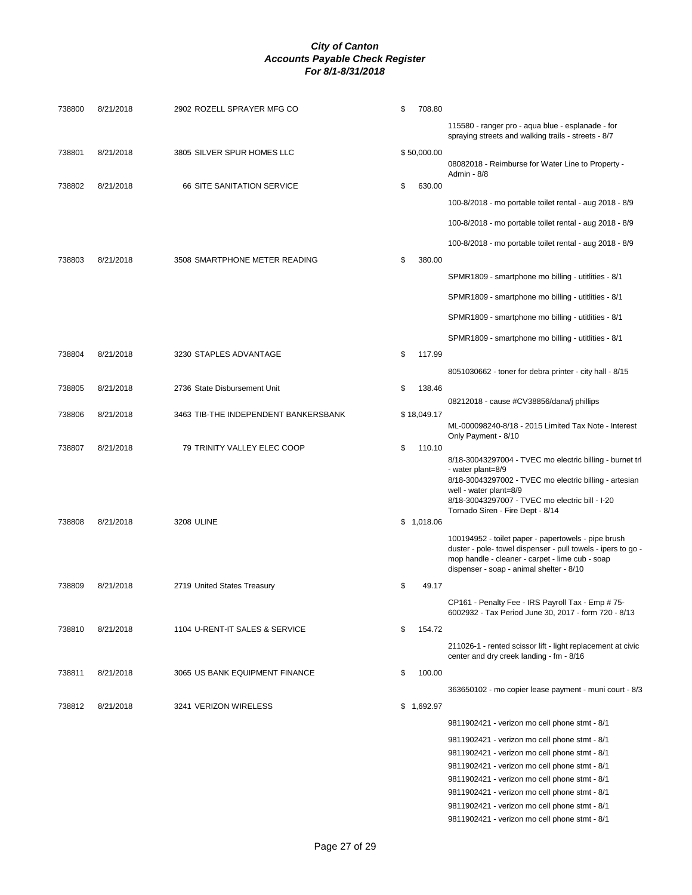| 738800 | 8/21/2018 | 2902 ROZELL SPRAYER MFG CO           | \$<br>708.80 |                                                                                                                 |
|--------|-----------|--------------------------------------|--------------|-----------------------------------------------------------------------------------------------------------------|
|        |           |                                      |              | 115580 - ranger pro - aqua blue - esplanade - for<br>spraying streets and walking trails - streets - 8/7        |
| 738801 | 8/21/2018 | 3805 SILVER SPUR HOMES LLC           | \$50,000.00  |                                                                                                                 |
|        |           |                                      |              | 08082018 - Reimburse for Water Line to Property -<br>Admin - 8/8                                                |
| 738802 | 8/21/2018 | <b>66 SITE SANITATION SERVICE</b>    | \$<br>630.00 |                                                                                                                 |
|        |           |                                      |              | 100-8/2018 - mo portable toilet rental - aug 2018 - 8/9                                                         |
|        |           |                                      |              | 100-8/2018 - mo portable toilet rental - aug 2018 - 8/9                                                         |
|        |           |                                      |              | 100-8/2018 - mo portable toilet rental - aug 2018 - 8/9                                                         |
| 738803 | 8/21/2018 | 3508 SMARTPHONE METER READING        | \$<br>380.00 |                                                                                                                 |
|        |           |                                      |              | SPMR1809 - smartphone mo billing - utitlities - 8/1                                                             |
|        |           |                                      |              | SPMR1809 - smartphone mo billing - utitlities - 8/1                                                             |
|        |           |                                      |              |                                                                                                                 |
|        |           |                                      |              | SPMR1809 - smartphone mo billing - utitlities - 8/1                                                             |
|        |           |                                      |              | SPMR1809 - smartphone mo billing - utitlities - 8/1                                                             |
| 738804 | 8/21/2018 | 3230 STAPLES ADVANTAGE               | \$<br>117.99 |                                                                                                                 |
|        |           |                                      |              | 8051030662 - toner for debra printer - city hall - 8/15                                                         |
| 738805 | 8/21/2018 | 2736 State Disbursement Unit         | \$<br>138.46 |                                                                                                                 |
| 738806 | 8/21/2018 | 3463 TIB-THE INDEPENDENT BANKERSBANK | \$18,049.17  | 08212018 - cause #CV38856/dana/j phillips                                                                       |
|        |           |                                      |              | ML-000098240-8/18 - 2015 Limited Tax Note - Interest                                                            |
| 738807 | 8/21/2018 | 79 TRINITY VALLEY ELEC COOP          | \$<br>110.10 | Only Payment - 8/10                                                                                             |
|        |           |                                      |              | 8/18-30043297004 - TVEC mo electric billing - burnet trl                                                        |
|        |           |                                      |              | - water plant=8/9<br>8/18-30043297002 - TVEC mo electric billing - artesian                                     |
|        |           |                                      |              | well - water plant=8/9                                                                                          |
|        |           |                                      |              | 8/18-30043297007 - TVEC mo electric bill - I-20<br>Tornado Siren - Fire Dept - 8/14                             |
| 738808 | 8/21/2018 | 3208 ULINE                           | \$1,018.06   |                                                                                                                 |
|        |           |                                      |              | 100194952 - toilet paper - papertowels - pipe brush                                                             |
|        |           |                                      |              | duster - pole- towel dispenser - pull towels - ipers to go -<br>mop handle - cleaner - carpet - lime cub - soap |
|        |           |                                      |              | dispenser - soap - animal shelter - 8/10                                                                        |
| 738809 | 8/21/2018 | 2719 United States Treasury          | \$<br>49.17  |                                                                                                                 |
|        |           |                                      |              | CP161 - Penalty Fee - IRS Payroll Tax - Emp # 75-<br>6002932 - Tax Period June 30, 2017 - form 720 - 8/13       |
| 738810 | 8/21/2018 | 1104 U-RENT-IT SALES & SERVICE       | \$<br>154.72 |                                                                                                                 |
|        |           |                                      |              | 211026-1 - rented scissor lift - light replacement at civic                                                     |
|        |           |                                      |              | center and dry creek landing - fm - 8/16                                                                        |
| 738811 | 8/21/2018 | 3065 US BANK EQUIPMENT FINANCE       | \$<br>100.00 |                                                                                                                 |
|        |           |                                      |              | 363650102 - mo copier lease payment - muni court - 8/3                                                          |
| 738812 | 8/21/2018 | 3241 VERIZON WIRELESS                | \$1,692.97   |                                                                                                                 |
|        |           |                                      |              | 9811902421 - verizon mo cell phone stmt - 8/1                                                                   |
|        |           |                                      |              | 9811902421 - verizon mo cell phone stmt - 8/1                                                                   |
|        |           |                                      |              | 9811902421 - verizon mo cell phone stmt - 8/1                                                                   |
|        |           |                                      |              | 9811902421 - verizon mo cell phone stmt - 8/1                                                                   |
|        |           |                                      |              | 9811902421 - verizon mo cell phone stmt - 8/1                                                                   |
|        |           |                                      |              | 9811902421 - verizon mo cell phone stmt - 8/1                                                                   |
|        |           |                                      |              | 9811902421 - verizon mo cell phone stmt - 8/1                                                                   |
|        |           |                                      |              | 9811902421 - verizon mo cell phone stmt - 8/1                                                                   |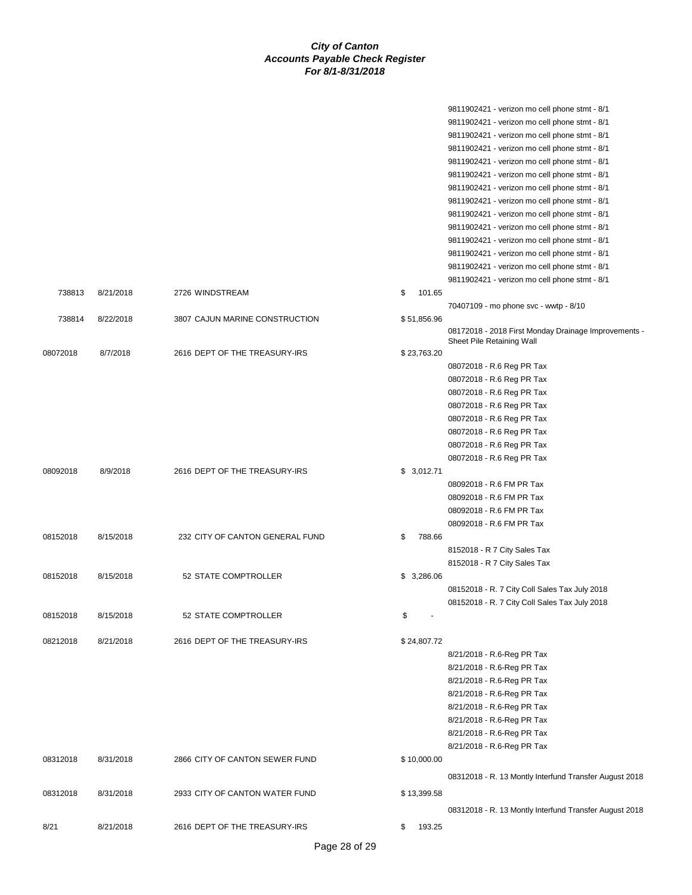|          |           |                                 |              | 9811902421 - verizon mo cell phone stmt - 8/1          |
|----------|-----------|---------------------------------|--------------|--------------------------------------------------------|
|          |           |                                 |              | 9811902421 - verizon mo cell phone stmt - 8/1          |
|          |           |                                 |              | 9811902421 - verizon mo cell phone stmt - 8/1          |
|          |           |                                 |              | 9811902421 - verizon mo cell phone stmt - 8/1          |
|          |           |                                 |              | 9811902421 - verizon mo cell phone stmt - 8/1          |
|          |           |                                 |              | 9811902421 - verizon mo cell phone stmt - 8/1          |
|          |           |                                 |              | 9811902421 - verizon mo cell phone stmt - 8/1          |
|          |           |                                 |              | 9811902421 - verizon mo cell phone stmt - 8/1          |
|          |           |                                 |              | 9811902421 - verizon mo cell phone stmt - 8/1          |
|          |           |                                 |              | 9811902421 - verizon mo cell phone stmt - 8/1          |
|          |           |                                 |              | 9811902421 - verizon mo cell phone stmt - 8/1          |
|          |           |                                 |              | 9811902421 - verizon mo cell phone stmt - 8/1          |
|          |           |                                 |              | 9811902421 - verizon mo cell phone stmt - 8/1          |
|          |           |                                 |              | 9811902421 - verizon mo cell phone stmt - 8/1          |
| 738813   | 8/21/2018 | 2726 WINDSTREAM                 | \$<br>101.65 |                                                        |
|          |           |                                 |              | 70407109 - mo phone svc - wwtp - 8/10                  |
| 738814   | 8/22/2018 | 3807 CAJUN MARINE CONSTRUCTION  | \$51,856.96  |                                                        |
|          |           |                                 |              | 08172018 - 2018 First Monday Drainage Improvements -   |
|          |           |                                 |              | Sheet Pile Retaining Wall                              |
| 08072018 | 8/7/2018  | 2616 DEPT OF THE TREASURY-IRS   | \$23,763.20  |                                                        |
|          |           |                                 |              | 08072018 - R.6 Reg PR Tax                              |
|          |           |                                 |              | 08072018 - R.6 Reg PR Tax                              |
|          |           |                                 |              | 08072018 - R.6 Reg PR Tax                              |
|          |           |                                 |              | 08072018 - R.6 Reg PR Tax                              |
|          |           |                                 |              | 08072018 - R.6 Reg PR Tax                              |
|          |           |                                 |              | 08072018 - R.6 Reg PR Tax                              |
|          |           |                                 |              | 08072018 - R.6 Reg PR Tax                              |
|          |           |                                 |              | 08072018 - R.6 Reg PR Tax                              |
| 08092018 | 8/9/2018  | 2616 DEPT OF THE TREASURY-IRS   | \$3,012.71   |                                                        |
|          |           |                                 |              | 08092018 - R.6 FM PR Tax                               |
|          |           |                                 |              | 08092018 - R.6 FM PR Tax                               |
|          |           |                                 |              | 08092018 - R.6 FM PR Tax                               |
|          |           |                                 |              | 08092018 - R.6 FM PR Tax                               |
| 08152018 | 8/15/2018 | 232 CITY OF CANTON GENERAL FUND | 788.66<br>\$ |                                                        |
|          |           |                                 |              | 8152018 - R 7 City Sales Tax                           |
|          |           |                                 |              | 8152018 - R 7 City Sales Tax                           |
| 08152018 | 8/15/2018 | 52 STATE COMPTROLLER            | \$3,286.06   |                                                        |
|          |           |                                 |              | 08152018 - R. 7 City Coll Sales Tax July 2018          |
|          |           |                                 |              | 08152018 - R. 7 City Coll Sales Tax July 2018          |
| 08152018 | 8/15/2018 | 52 STATE COMPTROLLER            | \$           |                                                        |
|          |           |                                 |              |                                                        |
| 08212018 | 8/21/2018 | 2616 DEPT OF THE TREASURY-IRS   | \$24,807.72  |                                                        |
|          |           |                                 |              | 8/21/2018 - R.6-Reg PR Tax                             |
|          |           |                                 |              | 8/21/2018 - R.6-Reg PR Tax                             |
|          |           |                                 |              | 8/21/2018 - R.6-Reg PR Tax                             |
|          |           |                                 |              | 8/21/2018 - R.6-Reg PR Tax                             |
|          |           |                                 |              | 8/21/2018 - R.6-Reg PR Tax                             |
|          |           |                                 |              | 8/21/2018 - R.6-Reg PR Tax                             |
|          |           |                                 |              | 8/21/2018 - R.6-Reg PR Tax                             |
|          |           |                                 |              | 8/21/2018 - R.6-Reg PR Tax                             |
| 08312018 | 8/31/2018 | 2866 CITY OF CANTON SEWER FUND  | \$10,000.00  |                                                        |
|          |           |                                 |              |                                                        |
|          |           |                                 |              | 08312018 - R. 13 Montly Interfund Transfer August 2018 |
| 08312018 | 8/31/2018 | 2933 CITY OF CANTON WATER FUND  | \$13,399.58  |                                                        |
|          |           |                                 |              | 08312018 - R. 13 Montly Interfund Transfer August 2018 |
|          |           |                                 |              |                                                        |
| 8/21     | 8/21/2018 | 2616 DEPT OF THE TREASURY-IRS   | \$<br>193.25 |                                                        |